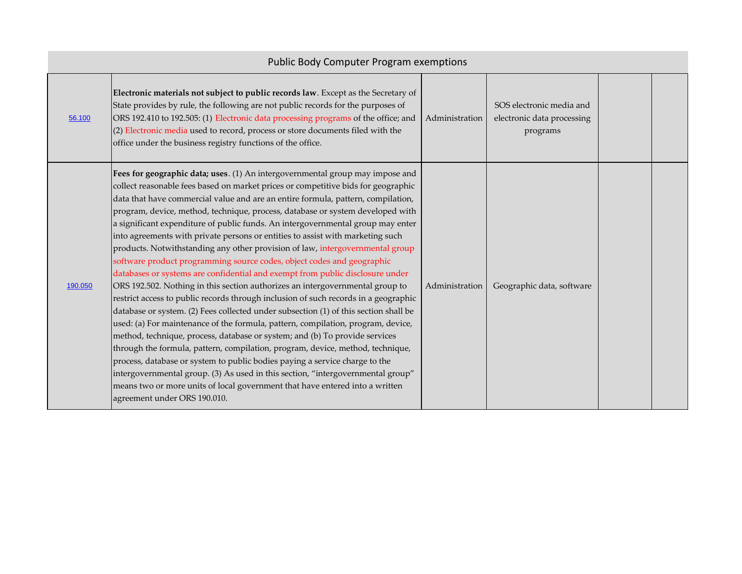|         | <b>Public Body Computer Program exemptions</b>                                                                                                                                                                                                                                                                                                                                                                                                                                                                                                                                                                                                                                                                                                                                                                                                                                                                                                                                                                                                                                                                                                                                                                                                                                                                                                                                                                                                                                                                                                                   |                |                                                                    |  |  |  |
|---------|------------------------------------------------------------------------------------------------------------------------------------------------------------------------------------------------------------------------------------------------------------------------------------------------------------------------------------------------------------------------------------------------------------------------------------------------------------------------------------------------------------------------------------------------------------------------------------------------------------------------------------------------------------------------------------------------------------------------------------------------------------------------------------------------------------------------------------------------------------------------------------------------------------------------------------------------------------------------------------------------------------------------------------------------------------------------------------------------------------------------------------------------------------------------------------------------------------------------------------------------------------------------------------------------------------------------------------------------------------------------------------------------------------------------------------------------------------------------------------------------------------------------------------------------------------------|----------------|--------------------------------------------------------------------|--|--|--|
| 56.100  | Electronic materials not subject to public records law. Except as the Secretary of<br>State provides by rule, the following are not public records for the purposes of<br>ORS 192.410 to 192.505: (1) Electronic data processing programs of the office; and<br>(2) Electronic media used to record, process or store documents filed with the<br>office under the business registry functions of the office.                                                                                                                                                                                                                                                                                                                                                                                                                                                                                                                                                                                                                                                                                                                                                                                                                                                                                                                                                                                                                                                                                                                                                    | Administration | SOS electronic media and<br>electronic data processing<br>programs |  |  |  |
| 190.050 | Fees for geographic data; uses. (1) An intergovernmental group may impose and<br>collect reasonable fees based on market prices or competitive bids for geographic<br>data that have commercial value and are an entire formula, pattern, compilation,<br>program, device, method, technique, process, database or system developed with<br>a significant expenditure of public funds. An intergovernmental group may enter<br>into agreements with private persons or entities to assist with marketing such<br>products. Notwithstanding any other provision of law, intergovernmental group<br>software product programming source codes, object codes and geographic<br>databases or systems are confidential and exempt from public disclosure under<br>ORS 192.502. Nothing in this section authorizes an intergovernmental group to<br>restrict access to public records through inclusion of such records in a geographic<br>database or system. (2) Fees collected under subsection (1) of this section shall be<br>used: (a) For maintenance of the formula, pattern, compilation, program, device,<br>method, technique, process, database or system; and (b) To provide services<br>through the formula, pattern, compilation, program, device, method, technique,<br>process, database or system to public bodies paying a service charge to the<br>intergovernmental group. (3) As used in this section, "intergovernmental group"<br>means two or more units of local government that have entered into a written<br>agreement under ORS 190.010. | Administration | Geographic data, software                                          |  |  |  |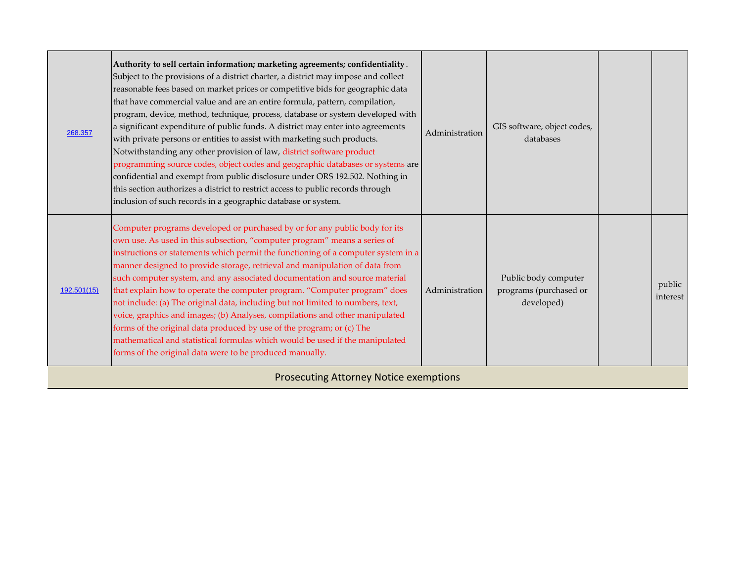| 268.357     | Authority to sell certain information; marketing agreements; confidentiality.<br>Subject to the provisions of a district charter, a district may impose and collect<br>reasonable fees based on market prices or competitive bids for geographic data<br>that have commercial value and are an entire formula, pattern, compilation,<br>program, device, method, technique, process, database or system developed with<br>a significant expenditure of public funds. A district may enter into agreements<br>with private persons or entities to assist with marketing such products.<br>Notwithstanding any other provision of law, district software product<br>programming source codes, object codes and geographic databases or systems are<br>confidential and exempt from public disclosure under ORS 192.502. Nothing in<br>this section authorizes a district to restrict access to public records through<br>inclusion of such records in a geographic database or system. | Administration | GIS software, object codes,<br>databases                     |                    |
|-------------|--------------------------------------------------------------------------------------------------------------------------------------------------------------------------------------------------------------------------------------------------------------------------------------------------------------------------------------------------------------------------------------------------------------------------------------------------------------------------------------------------------------------------------------------------------------------------------------------------------------------------------------------------------------------------------------------------------------------------------------------------------------------------------------------------------------------------------------------------------------------------------------------------------------------------------------------------------------------------------------|----------------|--------------------------------------------------------------|--------------------|
| 192.501(15) | Computer programs developed or purchased by or for any public body for its<br>own use. As used in this subsection, "computer program" means a series of<br>instructions or statements which permit the functioning of a computer system in a<br>manner designed to provide storage, retrieval and manipulation of data from<br>such computer system, and any associated documentation and source material<br>that explain how to operate the computer program. "Computer program" does<br>not include: (a) The original data, including but not limited to numbers, text,<br>voice, graphics and images; (b) Analyses, compilations and other manipulated<br>forms of the original data produced by use of the program; or (c) The<br>mathematical and statistical formulas which would be used if the manipulated<br>forms of the original data were to be produced manually.                                                                                                       | Administration | Public body computer<br>programs (purchased or<br>developed) | public<br>interest |

Prosecuting Attorney Notice exemptions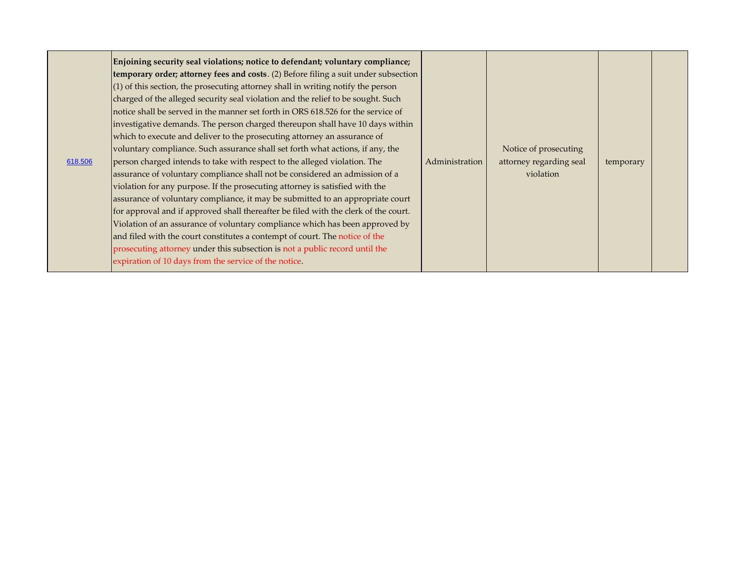| 618.506 | Enjoining security seal violations; notice to defendant; voluntary compliance;<br>temporary order; attorney fees and costs. (2) Before filing a suit under subsection<br>$(1)$ of this section, the prosecuting attorney shall in writing notify the person<br>charged of the alleged security seal violation and the relief to be sought. Such<br>notice shall be served in the manner set forth in ORS 618.526 for the service of<br>investigative demands. The person charged thereupon shall have 10 days within<br>which to execute and deliver to the prosecuting attorney an assurance of<br>voluntary compliance. Such assurance shall set forth what actions, if any, the<br>person charged intends to take with respect to the alleged violation. The<br>assurance of voluntary compliance shall not be considered an admission of a<br>violation for any purpose. If the prosecuting attorney is satisfied with the<br>assurance of voluntary compliance, it may be submitted to an appropriate court<br>for approval and if approved shall thereafter be filed with the clerk of the court.<br>Violation of an assurance of voluntary compliance which has been approved by<br>and filed with the court constitutes a contempt of court. The notice of the<br>prosecuting attorney under this subsection is not a public record until the<br>expiration of 10 days from the service of the notice. | Administration | Notice of prosecuting<br>attorney regarding seal<br>violation | temporary |
|---------|----------------------------------------------------------------------------------------------------------------------------------------------------------------------------------------------------------------------------------------------------------------------------------------------------------------------------------------------------------------------------------------------------------------------------------------------------------------------------------------------------------------------------------------------------------------------------------------------------------------------------------------------------------------------------------------------------------------------------------------------------------------------------------------------------------------------------------------------------------------------------------------------------------------------------------------------------------------------------------------------------------------------------------------------------------------------------------------------------------------------------------------------------------------------------------------------------------------------------------------------------------------------------------------------------------------------------------------------------------------------------------------------------------------|----------------|---------------------------------------------------------------|-----------|
|---------|----------------------------------------------------------------------------------------------------------------------------------------------------------------------------------------------------------------------------------------------------------------------------------------------------------------------------------------------------------------------------------------------------------------------------------------------------------------------------------------------------------------------------------------------------------------------------------------------------------------------------------------------------------------------------------------------------------------------------------------------------------------------------------------------------------------------------------------------------------------------------------------------------------------------------------------------------------------------------------------------------------------------------------------------------------------------------------------------------------------------------------------------------------------------------------------------------------------------------------------------------------------------------------------------------------------------------------------------------------------------------------------------------------------|----------------|---------------------------------------------------------------|-----------|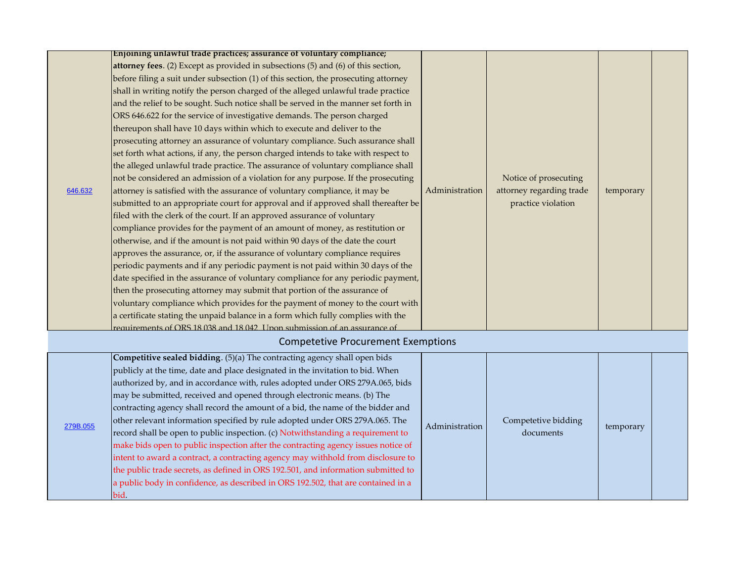|  |                                                                               | Enjoining unlawful trade practices; assurance of voluntary compliance;              |                |                          |           |  |
|--|-------------------------------------------------------------------------------|-------------------------------------------------------------------------------------|----------------|--------------------------|-----------|--|
|  |                                                                               | attorney fees. (2) Except as provided in subsections (5) and (6) of this section,   |                |                          |           |  |
|  |                                                                               | before filing a suit under subsection (1) of this section, the prosecuting attorney |                |                          |           |  |
|  |                                                                               | shall in writing notify the person charged of the alleged unlawful trade practice   |                |                          |           |  |
|  |                                                                               | and the relief to be sought. Such notice shall be served in the manner set forth in |                |                          |           |  |
|  |                                                                               | ORS 646.622 for the service of investigative demands. The person charged            |                |                          |           |  |
|  |                                                                               | thereupon shall have 10 days within which to execute and deliver to the             |                |                          |           |  |
|  |                                                                               | prosecuting attorney an assurance of voluntary compliance. Such assurance shall     |                |                          |           |  |
|  |                                                                               | set forth what actions, if any, the person charged intends to take with respect to  |                |                          |           |  |
|  |                                                                               | the alleged unlawful trade practice. The assurance of voluntary compliance shall    |                |                          |           |  |
|  |                                                                               | not be considered an admission of a violation for any purpose. If the prosecuting   |                | Notice of prosecuting    |           |  |
|  | 646.632                                                                       | attorney is satisfied with the assurance of voluntary compliance, it may be         | Administration | attorney regarding trade | temporary |  |
|  |                                                                               | submitted to an appropriate court for approval and if approved shall thereafter be  |                | practice violation       |           |  |
|  |                                                                               | filed with the clerk of the court. If an approved assurance of voluntary            |                |                          |           |  |
|  | compliance provides for the payment of an amount of money, as restitution or  |                                                                                     |                |                          |           |  |
|  | otherwise, and if the amount is not paid within 90 days of the date the court |                                                                                     |                |                          |           |  |
|  |                                                                               | approves the assurance, or, if the assurance of voluntary compliance requires       |                |                          |           |  |
|  |                                                                               | periodic payments and if any periodic payment is not paid within 30 days of the     |                |                          |           |  |
|  |                                                                               | date specified in the assurance of voluntary compliance for any periodic payment,   |                |                          |           |  |
|  |                                                                               | then the prosecuting attorney may submit that portion of the assurance of           |                |                          |           |  |
|  |                                                                               | voluntary compliance which provides for the payment of money to the court with      |                |                          |           |  |
|  |                                                                               | a certificate stating the unpaid balance in a form which fully complies with the    |                |                          |           |  |
|  |                                                                               | requirements of ORS 18 038 and 18 042 Upon submission of an assurance of            |                |                          |           |  |
|  |                                                                               | <b>Competetive Procurement Exemptions</b>                                           |                |                          |           |  |
|  |                                                                               | Competitive sealed bidding. (5)(a) The contracting agency shall open bids           |                |                          |           |  |
|  |                                                                               | publicly at the time, date and place designated in the invitation to bid. When      |                |                          |           |  |
|  |                                                                               | authorized by, and in accordance with, rules adopted under ORS 279A.065, bids       |                |                          |           |  |
|  |                                                                               | may be submitted, received and opened through electronic means. (b) The             |                |                          |           |  |
|  |                                                                               |                                                                                     |                |                          |           |  |
|  |                                                                               | contracting agency shall record the amount of a bid, the name of the bidder and     |                |                          |           |  |
|  | 279B.055                                                                      | other relevant information specified by rule adopted under ORS 279A.065. The        | Administration | Competetive bidding      | temporary |  |
|  |                                                                               | record shall be open to public inspection. (c) Notwithstanding a requirement to     |                | documents                |           |  |
|  |                                                                               | make bids open to public inspection after the contracting agency issues notice of   |                |                          |           |  |
|  |                                                                               | intent to award a contract, a contracting agency may withhold from disclosure to    |                |                          |           |  |
|  |                                                                               | the public trade secrets, as defined in ORS 192.501, and information submitted to   |                |                          |           |  |
|  |                                                                               | a public body in confidence, as described in ORS 192.502, that are contained in a   |                |                          |           |  |

bid.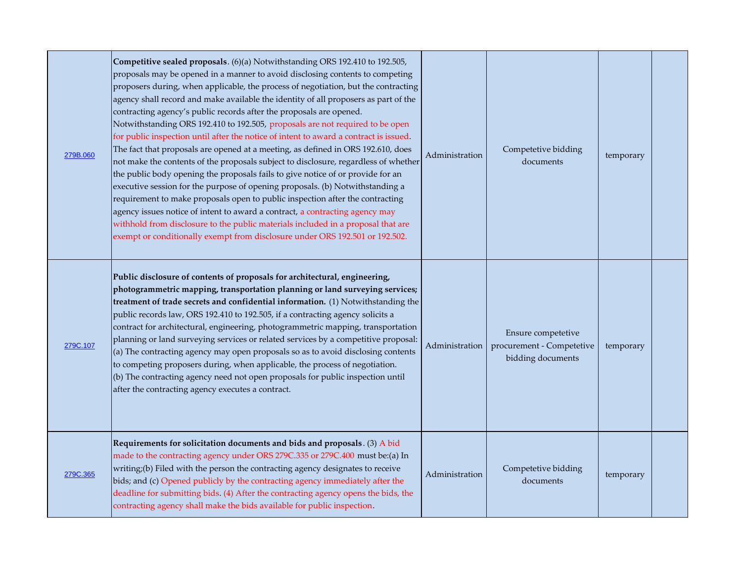| 279B.060 | Competitive sealed proposals. (6)(a) Notwithstanding ORS 192.410 to 192.505,<br>proposals may be opened in a manner to avoid disclosing contents to competing<br>proposers during, when applicable, the process of negotiation, but the contracting<br>agency shall record and make available the identity of all proposers as part of the<br>contracting agency's public records after the proposals are opened.<br>Notwithstanding ORS 192.410 to 192.505, proposals are not required to be open<br>for public inspection until after the notice of intent to award a contract is issued.<br>The fact that proposals are opened at a meeting, as defined in ORS 192.610, does<br>not make the contents of the proposals subject to disclosure, regardless of whether<br>the public body opening the proposals fails to give notice of or provide for an<br>executive session for the purpose of opening proposals. (b) Notwithstanding a<br>requirement to make proposals open to public inspection after the contracting<br>agency issues notice of intent to award a contract, a contracting agency may<br>withhold from disclosure to the public materials included in a proposal that are<br>exempt or conditionally exempt from disclosure under ORS 192.501 or 192.502. | Administration | Competetive bidding<br>documents                                     | temporary |  |
|----------|---------------------------------------------------------------------------------------------------------------------------------------------------------------------------------------------------------------------------------------------------------------------------------------------------------------------------------------------------------------------------------------------------------------------------------------------------------------------------------------------------------------------------------------------------------------------------------------------------------------------------------------------------------------------------------------------------------------------------------------------------------------------------------------------------------------------------------------------------------------------------------------------------------------------------------------------------------------------------------------------------------------------------------------------------------------------------------------------------------------------------------------------------------------------------------------------------------------------------------------------------------------------------------|----------------|----------------------------------------------------------------------|-----------|--|
| 279C.107 | Public disclosure of contents of proposals for architectural, engineering,<br>photogrammetric mapping, transportation planning or land surveying services;<br>treatment of trade secrets and confidential information. (1) Notwithstanding the<br>public records law, ORS 192.410 to 192.505, if a contracting agency solicits a<br>contract for architectural, engineering, photogrammetric mapping, transportation<br>planning or land surveying services or related services by a competitive proposal:<br>(a) The contracting agency may open proposals so as to avoid disclosing contents<br>to competing proposers during, when applicable, the process of negotiation.<br>(b) The contracting agency need not open proposals for public inspection until<br>after the contracting agency executes a contract.                                                                                                                                                                                                                                                                                                                                                                                                                                                            | Administration | Ensure competetive<br>procurement - Competetive<br>bidding documents | temporary |  |
| 279C.365 | Requirements for solicitation documents and bids and proposals. (3) A bid<br>made to the contracting agency under ORS 279C.335 or 279C.400 must be:(a) In<br>writing;(b) Filed with the person the contracting agency designates to receive<br>bids; and (c) Opened publicly by the contracting agency immediately after the<br>deadline for submitting bids. (4) After the contracting agency opens the bids, the<br>contracting agency shall make the bids available for public inspection.                                                                                                                                                                                                                                                                                                                                                                                                                                                                                                                                                                                                                                                                                                                                                                                   | Administration | Competetive bidding<br>documents                                     | temporary |  |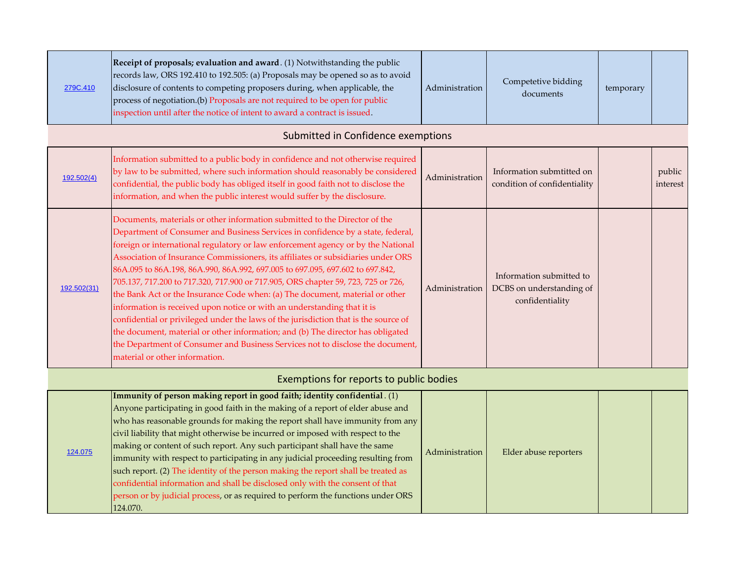| 279C.410    | Receipt of proposals; evaluation and award. (1) Notwithstanding the public<br>records law, ORS 192.410 to 192.505: (a) Proposals may be opened so as to avoid<br>disclosure of contents to competing proposers during, when applicable, the<br>process of negotiation.(b) Proposals are not required to be open for public<br>inspection until after the notice of intent to award a contract is issued.                                                                                                                                                                                                                                                                                                                                                                                                                                                                                                                                                             | Administration | Competetive bidding<br>documents                                        | temporary |                    |
|-------------|----------------------------------------------------------------------------------------------------------------------------------------------------------------------------------------------------------------------------------------------------------------------------------------------------------------------------------------------------------------------------------------------------------------------------------------------------------------------------------------------------------------------------------------------------------------------------------------------------------------------------------------------------------------------------------------------------------------------------------------------------------------------------------------------------------------------------------------------------------------------------------------------------------------------------------------------------------------------|----------------|-------------------------------------------------------------------------|-----------|--------------------|
|             | Submitted in Confidence exemptions                                                                                                                                                                                                                                                                                                                                                                                                                                                                                                                                                                                                                                                                                                                                                                                                                                                                                                                                   |                |                                                                         |           |                    |
| 192.502(4)  | Information submitted to a public body in confidence and not otherwise required<br>by law to be submitted, where such information should reasonably be considered<br>confidential, the public body has obliged itself in good faith not to disclose the<br>information, and when the public interest would suffer by the disclosure.                                                                                                                                                                                                                                                                                                                                                                                                                                                                                                                                                                                                                                 | Administration | Information submtitted on<br>condition of confidentiality               |           | public<br>interest |
| 192.502(31) | Documents, materials or other information submitted to the Director of the<br>Department of Consumer and Business Services in confidence by a state, federal,<br>foreign or international regulatory or law enforcement agency or by the National<br>Association of Insurance Commissioners, its affiliates or subsidiaries under ORS<br>86A.095 to 86A.198, 86A.990, 86A.992, 697.005 to 697.095, 697.602 to 697.842,<br>705.137, 717.200 to 717.320, 717.900 or 717.905, ORS chapter 59, 723, 725 or 726,<br>the Bank Act or the Insurance Code when: (a) The document, material or other<br>information is received upon notice or with an understanding that it is<br>confidential or privileged under the laws of the jurisdiction that is the source of<br>the document, material or other information; and (b) The director has obligated<br>the Department of Consumer and Business Services not to disclose the document,<br>material or other information. | Administration | Information submitted to<br>DCBS on understanding of<br>confidentiality |           |                    |

## Exemptions for reports to public bodies

|         | Immunity of person making report in good faith; identity confidential. $(1)$      |                |                       |  |
|---------|-----------------------------------------------------------------------------------|----------------|-----------------------|--|
| 124.075 | Anyone participating in good faith in the making of a report of elder abuse and   | Administration |                       |  |
|         | who has reasonable grounds for making the report shall have immunity from any     |                | Elder abuse reporters |  |
|         | civil liability that might otherwise be incurred or imposed with respect to the   |                |                       |  |
|         | making or content of such report. Any such participant shall have the same        |                |                       |  |
|         | immunity with respect to participating in any judicial proceeding resulting from  |                |                       |  |
|         | such report. (2) The identity of the person making the report shall be treated as |                |                       |  |
|         | confidential information and shall be disclosed only with the consent of that     |                |                       |  |
|         | person or by judicial process, or as required to perform the functions under ORS  |                |                       |  |
|         | 124.070.                                                                          |                |                       |  |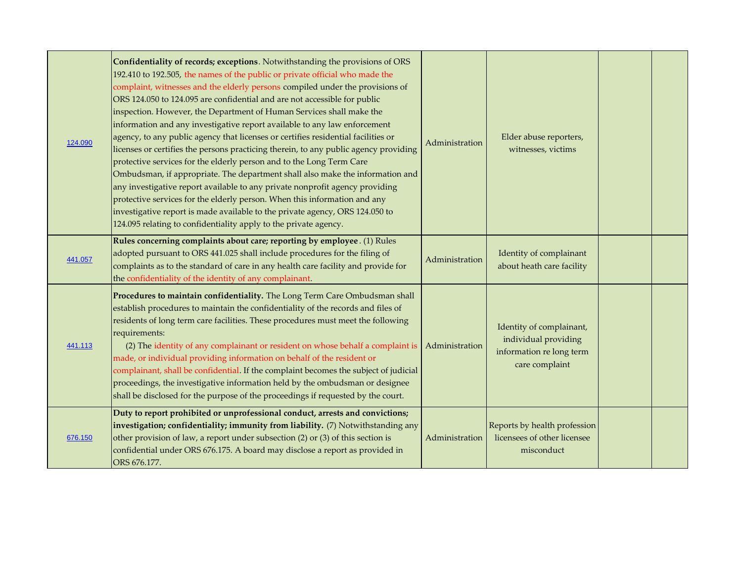| 124.090 | Confidentiality of records; exceptions. Notwithstanding the provisions of ORS<br>192.410 to 192.505, the names of the public or private official who made the<br>complaint, witnesses and the elderly persons compiled under the provisions of<br>ORS 124.050 to 124.095 are confidential and are not accessible for public<br>inspection. However, the Department of Human Services shall make the<br>information and any investigative report available to any law enforcement<br>agency, to any public agency that licenses or certifies residential facilities or<br>licenses or certifies the persons practicing therein, to any public agency providing<br>protective services for the elderly person and to the Long Term Care<br>Ombudsman, if appropriate. The department shall also make the information and<br>any investigative report available to any private nonprofit agency providing<br>protective services for the elderly person. When this information and any<br>investigative report is made available to the private agency, ORS 124.050 to<br>124.095 relating to confidentiality apply to the private agency. | Administration | Elder abuse reporters,<br>witnesses, victims                                                  |  |
|---------|-----------------------------------------------------------------------------------------------------------------------------------------------------------------------------------------------------------------------------------------------------------------------------------------------------------------------------------------------------------------------------------------------------------------------------------------------------------------------------------------------------------------------------------------------------------------------------------------------------------------------------------------------------------------------------------------------------------------------------------------------------------------------------------------------------------------------------------------------------------------------------------------------------------------------------------------------------------------------------------------------------------------------------------------------------------------------------------------------------------------------------------------|----------------|-----------------------------------------------------------------------------------------------|--|
| 441.057 | Rules concerning complaints about care; reporting by employee. (1) Rules<br>adopted pursuant to ORS 441.025 shall include procedures for the filing of<br>complaints as to the standard of care in any health care facility and provide for<br>the confidentiality of the identity of any complainant.                                                                                                                                                                                                                                                                                                                                                                                                                                                                                                                                                                                                                                                                                                                                                                                                                                  | Administration | Identity of complainant<br>about heath care facility                                          |  |
| 441.113 | Procedures to maintain confidentiality. The Long Term Care Ombudsman shall<br>establish procedures to maintain the confidentiality of the records and files of<br>residents of long term care facilities. These procedures must meet the following<br>requirements:<br>(2) The identity of any complainant or resident on whose behalf a complaint is<br>made, or individual providing information on behalf of the resident or<br>complainant, shall be confidential. If the complaint becomes the subject of judicial<br>proceedings, the investigative information held by the ombudsman or designee<br>shall be disclosed for the purpose of the proceedings if requested by the court.                                                                                                                                                                                                                                                                                                                                                                                                                                             | Administration | Identity of complainant,<br>individual providing<br>information relong term<br>care complaint |  |
| 676.150 | Duty to report prohibited or unprofessional conduct, arrests and convictions;<br>investigation; confidentiality; immunity from liability. (7) Notwithstanding any<br>other provision of law, a report under subsection $(2)$ or $(3)$ of this section is<br>confidential under ORS 676.175. A board may disclose a report as provided in<br>ORS 676.177.                                                                                                                                                                                                                                                                                                                                                                                                                                                                                                                                                                                                                                                                                                                                                                                | Administration | Reports by health profession<br>licensees of other licensee<br>misconduct                     |  |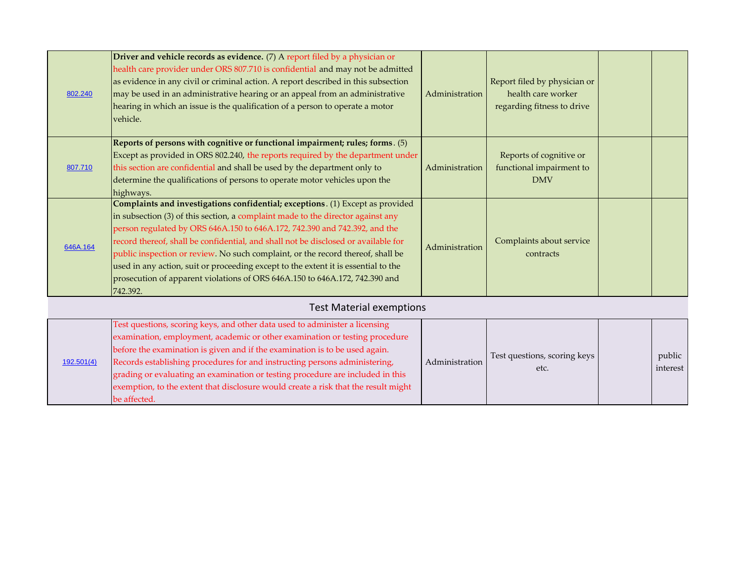| 802.240  | <b>Driver and vehicle records as evidence.</b> (7) A report filed by a physician or<br>health care provider under ORS 807.710 is confidential and may not be admitted<br>as evidence in any civil or criminal action. A report described in this subsection<br>may be used in an administrative hearing or an appeal from an administrative<br>hearing in which an issue is the qualification of a person to operate a motor<br>vehicle.                                                                                                                                                                    | Administration | Report filed by physician or<br>health care worker<br>regarding fitness to drive |  |
|----------|-------------------------------------------------------------------------------------------------------------------------------------------------------------------------------------------------------------------------------------------------------------------------------------------------------------------------------------------------------------------------------------------------------------------------------------------------------------------------------------------------------------------------------------------------------------------------------------------------------------|----------------|----------------------------------------------------------------------------------|--|
| 807.710  | Reports of persons with cognitive or functional impairment; rules; forms. $(5)$<br>Except as provided in ORS 802.240, the reports required by the department under<br>this section are confidential and shall be used by the department only to<br>determine the qualifications of persons to operate motor vehicles upon the<br>highways.                                                                                                                                                                                                                                                                  | Administration | Reports of cognitive or<br>functional impairment to<br><b>DMV</b>                |  |
| 646A.164 | Complaints and investigations confidential; exceptions. (1) Except as provided<br>in subsection $(3)$ of this section, a complaint made to the director against any<br>person regulated by ORS 646A.150 to 646A.172, 742.390 and 742.392, and the<br>record thereof, shall be confidential, and shall not be disclosed or available for<br>public inspection or review. No such complaint, or the record thereof, shall be<br>used in any action, suit or proceeding except to the extent it is essential to the<br>prosecution of apparent violations of ORS 646A.150 to 646A.172, 742.390 and<br>742.392. | Administration | Complaints about service<br>contracts                                            |  |

## Test Material exemptions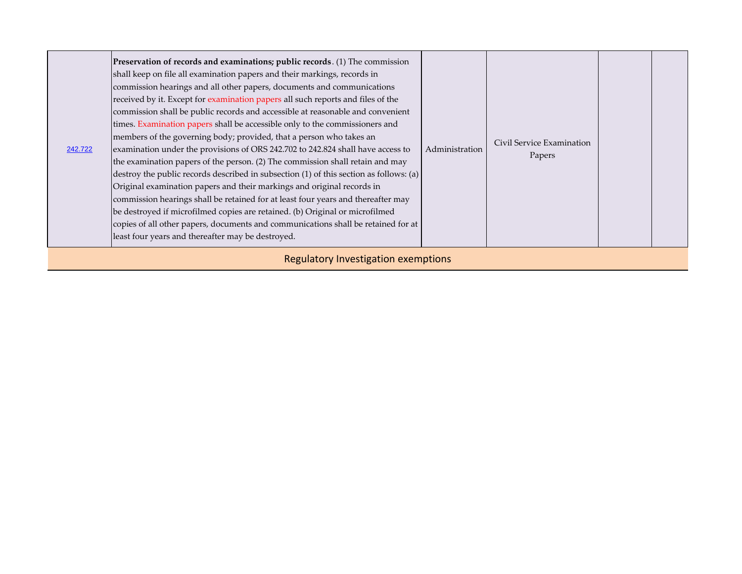| 242.722                             | Preservation of records and examinations; public records. (1) The commission<br>shall keep on file all examination papers and their markings, records in<br>commission hearings and all other papers, documents and communications<br>received by it. Except for examination papers all such reports and files of the<br>commission shall be public records and accessible at reasonable and convenient<br>times. Examination papers shall be accessible only to the commissioners and<br>members of the governing body; provided, that a person who takes an<br>examination under the provisions of ORS 242.702 to 242.824 shall have access to<br>the examination papers of the person. (2) The commission shall retain and may<br>destroy the public records described in subsection (1) of this section as follows: (a)<br>Original examination papers and their markings and original records in<br>commission hearings shall be retained for at least four years and thereafter may<br>be destroyed if microfilmed copies are retained. (b) Original or microfilmed<br>copies of all other papers, documents and communications shall be retained for at<br>least four years and thereafter may be destroyed. | Administration | Civil Service Examination<br>Papers |  |  |  |
|-------------------------------------|---------------------------------------------------------------------------------------------------------------------------------------------------------------------------------------------------------------------------------------------------------------------------------------------------------------------------------------------------------------------------------------------------------------------------------------------------------------------------------------------------------------------------------------------------------------------------------------------------------------------------------------------------------------------------------------------------------------------------------------------------------------------------------------------------------------------------------------------------------------------------------------------------------------------------------------------------------------------------------------------------------------------------------------------------------------------------------------------------------------------------------------------------------------------------------------------------------------------|----------------|-------------------------------------|--|--|--|
| Begulatory Investigation examptions |                                                                                                                                                                                                                                                                                                                                                                                                                                                                                                                                                                                                                                                                                                                                                                                                                                                                                                                                                                                                                                                                                                                                                                                                                     |                |                                     |  |  |  |

Regulatory Investigation exemptions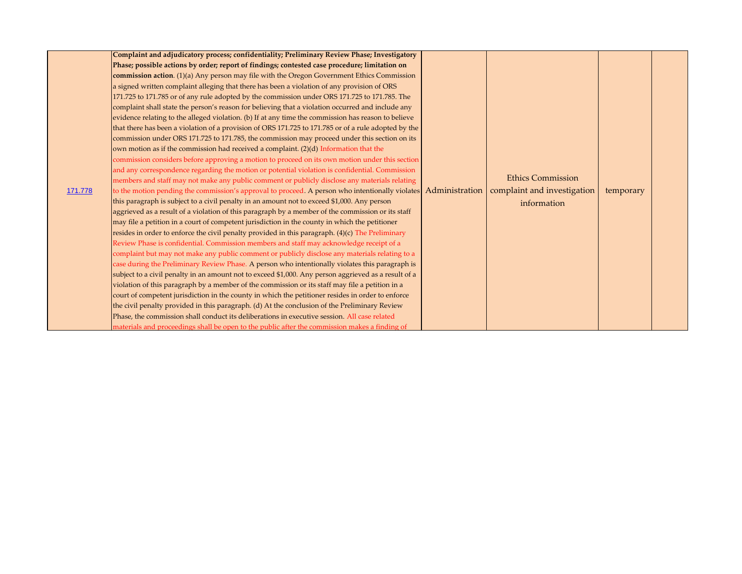|         | Complaint and adjudicatory process; confidentiality; Preliminary Review Phase; Investigatory                   |  |                             |           |  |
|---------|----------------------------------------------------------------------------------------------------------------|--|-----------------------------|-----------|--|
|         | Phase; possible actions by order; report of findings; contested case procedure; limitation on                  |  |                             |           |  |
|         | commission action. (1)(a) Any person may file with the Oregon Government Ethics Commission                     |  |                             |           |  |
|         | a signed written complaint alleging that there has been a violation of any provision of ORS                    |  |                             |           |  |
|         | 171.725 to 171.785 or of any rule adopted by the commission under ORS 171.725 to 171.785. The                  |  |                             |           |  |
|         | complaint shall state the person's reason for believing that a violation occurred and include any              |  |                             |           |  |
|         | evidence relating to the alleged violation. (b) If at any time the commission has reason to believe            |  |                             |           |  |
|         | that there has been a violation of a provision of ORS 171.725 to 171.785 or of a rule adopted by the           |  |                             |           |  |
|         | commission under ORS 171.725 to 171.785, the commission may proceed under this section on its                  |  |                             |           |  |
|         | own motion as if the commission had received a complaint. (2)(d) Information that the                          |  |                             |           |  |
|         | commission considers before approving a motion to proceed on its own motion under this section                 |  |                             |           |  |
|         | and any correspondence regarding the motion or potential violation is confidential. Commission                 |  |                             |           |  |
|         | members and staff may not make any public comment or publicly disclose any materials relating                  |  | <b>Ethics Commission</b>    |           |  |
| 171.778 | to the motion pending the commission's approval to proceed. A person who intentionally violates Administration |  | complaint and investigation | temporary |  |
|         | this paragraph is subject to a civil penalty in an amount not to exceed \$1,000. Any person                    |  | information                 |           |  |
|         | aggrieved as a result of a violation of this paragraph by a member of the commission or its staff              |  |                             |           |  |
|         | may file a petition in a court of competent jurisdiction in the county in which the petitioner                 |  |                             |           |  |
|         | resides in order to enforce the civil penalty provided in this paragraph. (4)(c) The Preliminary               |  |                             |           |  |
|         | Review Phase is confidential. Commission members and staff may acknowledge receipt of a                        |  |                             |           |  |
|         | complaint but may not make any public comment or publicly disclose any materials relating to a                 |  |                             |           |  |
|         | case during the Preliminary Review Phase. A person who intentionally violates this paragraph is                |  |                             |           |  |
|         | subject to a civil penalty in an amount not to exceed \$1,000. Any person aggrieved as a result of a           |  |                             |           |  |
|         | violation of this paragraph by a member of the commission or its staff may file a petition in a                |  |                             |           |  |
|         | court of competent jurisdiction in the county in which the petitioner resides in order to enforce              |  |                             |           |  |
|         | the civil penalty provided in this paragraph. (d) At the conclusion of the Preliminary Review                  |  |                             |           |  |
|         | Phase, the commission shall conduct its deliberations in executive session. All case related                   |  |                             |           |  |
|         | materials and proceedings shall be open to the public after the commission makes a finding of                  |  |                             |           |  |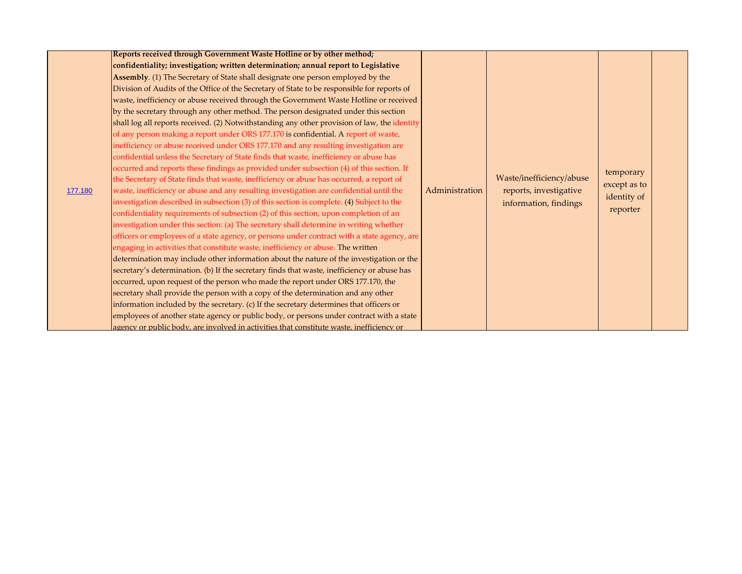|         | Reports received through Government Waste Hotline or by other method;                        |                |                                                 |              |  |
|---------|----------------------------------------------------------------------------------------------|----------------|-------------------------------------------------|--------------|--|
|         | confidentiality; investigation; written determination; annual report to Legislative          |                |                                                 |              |  |
|         | Assembly. (1) The Secretary of State shall designate one person employed by the              |                |                                                 |              |  |
|         | Division of Audits of the Office of the Secretary of State to be responsible for reports of  |                |                                                 |              |  |
|         | waste, inefficiency or abuse received through the Government Waste Hotline or received       |                |                                                 |              |  |
|         | by the secretary through any other method. The person designated under this section          |                |                                                 |              |  |
|         | shall log all reports received. (2) Notwithstanding any other provision of law, the identity |                |                                                 |              |  |
|         | of any person making a report under ORS 177.170 is confidential. A report of waste,          |                |                                                 |              |  |
|         | inefficiency or abuse received under ORS 177.170 and any resulting investigation are         |                |                                                 |              |  |
|         | confidential unless the Secretary of State finds that waste, inefficiency or abuse has       |                |                                                 |              |  |
|         | occurred and reports these findings as provided under subsection (4) of this section. If     |                |                                                 | temporary    |  |
|         | the Secretary of State finds that waste, inefficiency or abuse has occurred, a report of     |                | Waste/inefficiency/abuse                        |              |  |
| 177.180 | waste, inefficiency or abuse and any resulting investigation are confidential until the      | Administration | reports, investigative<br>information, findings | except as to |  |
|         | investigation described in subsection (3) of this section is complete. (4) Subject to the    |                |                                                 | identity of  |  |
|         | confidentiality requirements of subsection (2) of this section, upon completion of an        |                |                                                 | reporter     |  |
|         | investigation under this section: (a) The secretary shall determine in writing whether       |                |                                                 |              |  |
|         | officers or employees of a state agency, or persons under contract with a state agency, are  |                |                                                 |              |  |
|         | engaging in activities that constitute waste, inefficiency or abuse. The written             |                |                                                 |              |  |
|         | determination may include other information about the nature of the investigation or the     |                |                                                 |              |  |
|         | secretary's determination. (b) If the secretary finds that waste, inefficiency or abuse has  |                |                                                 |              |  |
|         | occurred, upon request of the person who made the report under ORS 177.170, the              |                |                                                 |              |  |
|         | secretary shall provide the person with a copy of the determination and any other            |                |                                                 |              |  |
|         | information included by the secretary. (c) If the secretary determines that officers or      |                |                                                 |              |  |
|         | employees of another state agency or public body, or persons under contract with a state     |                |                                                 |              |  |
|         | agency or public body, are involved in activities that constitute waste, inefficiency or     |                |                                                 |              |  |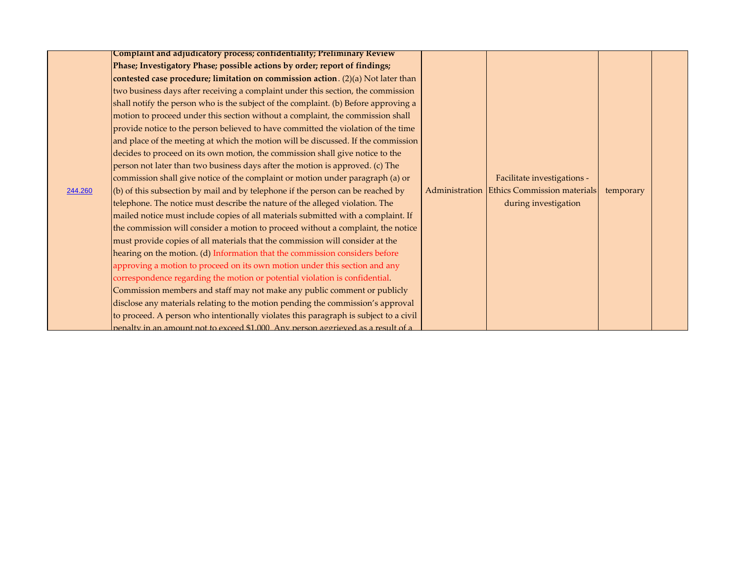|         | Complaint and adjudicatory process; confidentiality; Preliminary Review                 |                                            |           |  |
|---------|-----------------------------------------------------------------------------------------|--------------------------------------------|-----------|--|
|         | Phase; Investigatory Phase; possible actions by order; report of findings;              |                                            |           |  |
|         | contested case procedure; limitation on commission action. $(2)(a)$ Not later than      |                                            |           |  |
|         | two business days after receiving a complaint under this section, the commission        |                                            |           |  |
|         | shall notify the person who is the subject of the complaint. (b) Before approving a     |                                            |           |  |
|         | motion to proceed under this section without a complaint, the commission shall          |                                            |           |  |
|         | provide notice to the person believed to have committed the violation of the time       |                                            |           |  |
|         | and place of the meeting at which the motion will be discussed. If the commission       |                                            |           |  |
|         | decides to proceed on its own motion, the commission shall give notice to the           |                                            |           |  |
|         | person not later than two business days after the motion is approved. (c) The           |                                            |           |  |
|         | commission shall give notice of the complaint or motion under paragraph (a) or          | Facilitate investigations -                |           |  |
| 244.260 | $\vert$ (b) of this subsection by mail and by telephone if the person can be reached by | Administration Ethics Commission materials | temporary |  |
|         | telephone. The notice must describe the nature of the alleged violation. The            | during investigation                       |           |  |
|         | mailed notice must include copies of all materials submitted with a complaint. If       |                                            |           |  |
|         | the commission will consider a motion to proceed without a complaint, the notice        |                                            |           |  |
|         | must provide copies of all materials that the commission will consider at the           |                                            |           |  |
|         | hearing on the motion. (d) Information that the commission considers before             |                                            |           |  |
|         | approving a motion to proceed on its own motion under this section and any              |                                            |           |  |
|         | correspondence regarding the motion or potential violation is confidential.             |                                            |           |  |
|         | Commission members and staff may not make any public comment or publicly                |                                            |           |  |
|         | disclose any materials relating to the motion pending the commission's approval         |                                            |           |  |
|         | to proceed. A person who intentionally violates this paragraph is subject to a civil    |                                            |           |  |
|         | penalty in an amount not to exceed \$1,000. Any person aggrieved as a result of a       |                                            |           |  |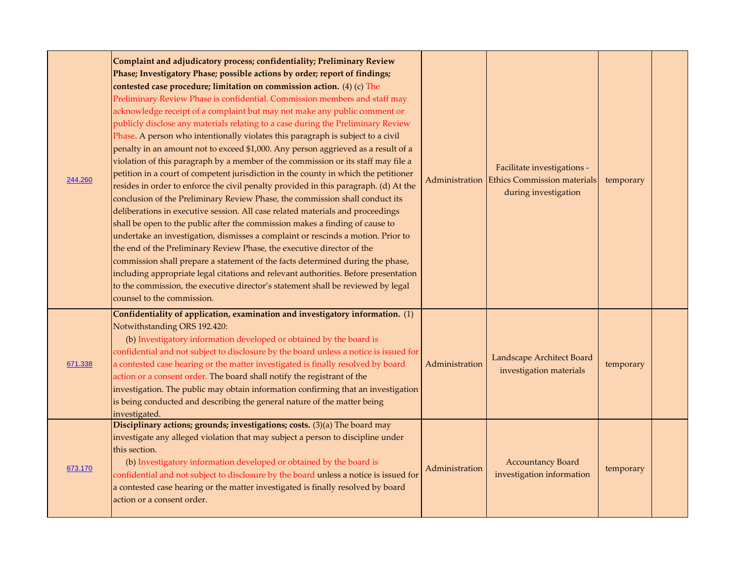| 244.260 | Complaint and adjudicatory process; confidentiality; Preliminary Review<br>Phase; Investigatory Phase; possible actions by order; report of findings;<br>contested case procedure; limitation on commission action. (4) (c) The<br>Preliminary Review Phase is confidential. Commission members and staff may<br>acknowledge receipt of a complaint but may not make any public comment or<br>publicly disclose any materials relating to a case during the Preliminary Review<br>Phase. A person who intentionally violates this paragraph is subject to a civil<br>penalty in an amount not to exceed \$1,000. Any person aggrieved as a result of a<br>violation of this paragraph by a member of the commission or its staff may file a<br>petition in a court of competent jurisdiction in the county in which the petitioner<br>resides in order to enforce the civil penalty provided in this paragraph. (d) At the<br>conclusion of the Preliminary Review Phase, the commission shall conduct its<br>deliberations in executive session. All case related materials and proceedings<br>shall be open to the public after the commission makes a finding of cause to<br>undertake an investigation, dismisses a complaint or rescinds a motion. Prior to<br>the end of the Preliminary Review Phase, the executive director of the<br>commission shall prepare a statement of the facts determined during the phase,<br>including appropriate legal citations and relevant authorities. Before presentation<br>to the commission, the executive director's statement shall be reviewed by legal<br>counsel to the commission. |                | Facilitate investigations -<br>Administration Ethics Commission materials<br>during investigation | temporary |  |
|---------|---------------------------------------------------------------------------------------------------------------------------------------------------------------------------------------------------------------------------------------------------------------------------------------------------------------------------------------------------------------------------------------------------------------------------------------------------------------------------------------------------------------------------------------------------------------------------------------------------------------------------------------------------------------------------------------------------------------------------------------------------------------------------------------------------------------------------------------------------------------------------------------------------------------------------------------------------------------------------------------------------------------------------------------------------------------------------------------------------------------------------------------------------------------------------------------------------------------------------------------------------------------------------------------------------------------------------------------------------------------------------------------------------------------------------------------------------------------------------------------------------------------------------------------------------------------------------------------------------------------------------------------|----------------|---------------------------------------------------------------------------------------------------|-----------|--|
| 671.338 | Confidentiality of application, examination and investigatory information. (1)<br>Notwithstanding ORS 192.420:<br>(b) Investigatory information developed or obtained by the board is<br>confidential and not subject to disclosure by the board unless a notice is issued for<br>a contested case hearing or the matter investigated is finally resolved by board<br>action or a consent order. The board shall notify the registrant of the<br>investigation. The public may obtain information confirming that an investigation<br>is being conducted and describing the general nature of the matter being<br>investigated.                                                                                                                                                                                                                                                                                                                                                                                                                                                                                                                                                                                                                                                                                                                                                                                                                                                                                                                                                                                                       | Administration | Landscape Architect Board<br>investigation materials                                              | temporary |  |
| 673.170 | Disciplinary actions; grounds; investigations; costs. (3)(a) The board may<br>investigate any alleged violation that may subject a person to discipline under<br>this section.<br>(b) Investigatory information developed or obtained by the board is<br>confidential and not subject to disclosure by the board unless a notice is issued for<br>a contested case hearing or the matter investigated is finally resolved by board<br>action or a consent order.                                                                                                                                                                                                                                                                                                                                                                                                                                                                                                                                                                                                                                                                                                                                                                                                                                                                                                                                                                                                                                                                                                                                                                      | Administration | <b>Accountancy Board</b><br>investigation information                                             | temporary |  |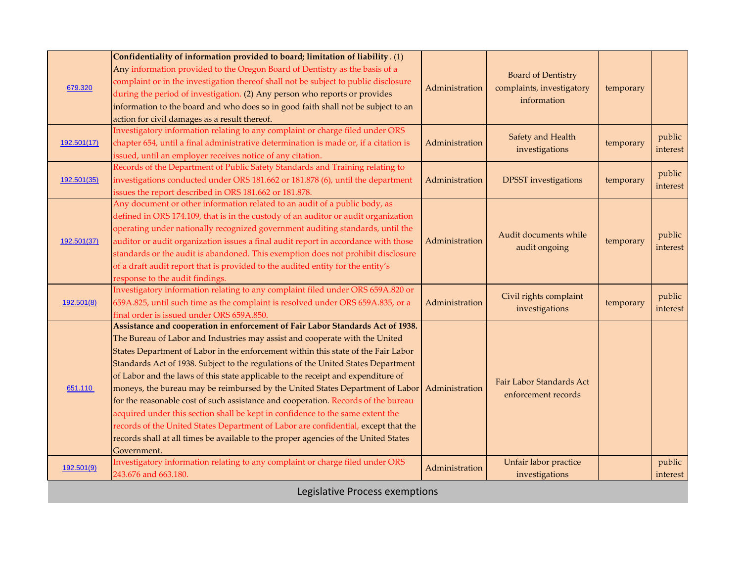| 679.320                        | Confidentiality of information provided to board; limitation of liability. (1)<br>Any information provided to the Oregon Board of Dentistry as the basis of a<br>complaint or in the investigation thereof shall not be subject to public disclosure<br>during the period of investigation. (2) Any person who reports or provides<br>information to the board and who does so in good faith shall not be subject to an<br>action for civil damages as a result thereof.                                                                                                                                                                                                                                                                                                                                                                                                        | Administration | <b>Board of Dentistry</b><br>complaints, investigatory<br>information | temporary |                    |
|--------------------------------|---------------------------------------------------------------------------------------------------------------------------------------------------------------------------------------------------------------------------------------------------------------------------------------------------------------------------------------------------------------------------------------------------------------------------------------------------------------------------------------------------------------------------------------------------------------------------------------------------------------------------------------------------------------------------------------------------------------------------------------------------------------------------------------------------------------------------------------------------------------------------------|----------------|-----------------------------------------------------------------------|-----------|--------------------|
| 192.501(17)                    | Investigatory information relating to any complaint or charge filed under ORS<br>chapter 654, until a final administrative determination is made or, if a citation is<br>issued, until an employer receives notice of any citation.                                                                                                                                                                                                                                                                                                                                                                                                                                                                                                                                                                                                                                             | Administration | Safety and Health<br>investigations                                   | temporary | public<br>interest |
| 192.501(35)                    | Records of the Department of Public Safety Standards and Training relating to<br>investigations conducted under ORS 181.662 or 181.878 (6), until the department<br>issues the report described in ORS 181.662 or 181.878.                                                                                                                                                                                                                                                                                                                                                                                                                                                                                                                                                                                                                                                      | Administration | <b>DPSST</b> investigations                                           | temporary | public<br>interest |
| 192.501(37)                    | Any document or other information related to an audit of a public body, as<br>defined in ORS 174.109, that is in the custody of an auditor or audit organization<br>operating under nationally recognized government auditing standards, until the<br>auditor or audit organization issues a final audit report in accordance with those<br>standards or the audit is abandoned. This exemption does not prohibit disclosure<br>of a draft audit report that is provided to the audited entity for the entity's<br>response to the audit findings.                                                                                                                                                                                                                                                                                                                              | Administration | Audit documents while<br>audit ongoing                                | temporary | public<br>interest |
| 192.501(8)                     | Investigatory information relating to any complaint filed under ORS 659A.820 or<br>659A.825, until such time as the complaint is resolved under ORS 659A.835, or a<br>final order is issued under ORS 659A.850.                                                                                                                                                                                                                                                                                                                                                                                                                                                                                                                                                                                                                                                                 | Administration | Civil rights complaint<br>investigations                              | temporary | public<br>interest |
| 651.110                        | Assistance and cooperation in enforcement of Fair Labor Standards Act of 1938.<br>The Bureau of Labor and Industries may assist and cooperate with the United<br>States Department of Labor in the enforcement within this state of the Fair Labor<br>Standards Act of 1938. Subject to the regulations of the United States Department<br>of Labor and the laws of this state applicable to the receipt and expenditure of<br>moneys, the bureau may be reimbursed by the United States Department of Labor<br>for the reasonable cost of such assistance and cooperation. Records of the bureau<br>acquired under this section shall be kept in confidence to the same extent the<br>records of the United States Department of Labor are confidential, except that the<br>records shall at all times be available to the proper agencies of the United States<br>Government. | Administration | Fair Labor Standards Act<br>enforcement records                       |           |                    |
| 192.501(9)                     | Investigatory information relating to any complaint or charge filed under ORS<br>243.676 and 663.180.                                                                                                                                                                                                                                                                                                                                                                                                                                                                                                                                                                                                                                                                                                                                                                           | Administration | Unfair labor practice<br>investigations                               |           | public<br>interest |
| Legislative Process exemptions |                                                                                                                                                                                                                                                                                                                                                                                                                                                                                                                                                                                                                                                                                                                                                                                                                                                                                 |                |                                                                       |           |                    |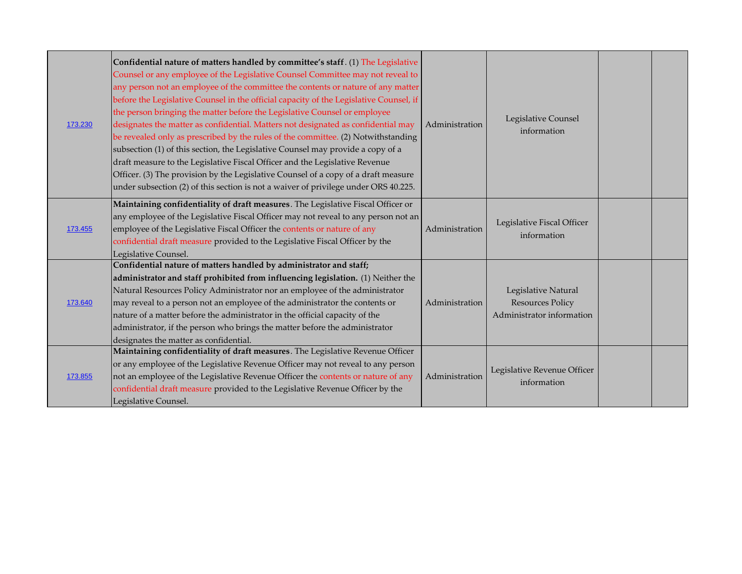| 173.230 | Confidential nature of matters handled by committee's staff. (1) The Legislative<br>Counsel or any employee of the Legislative Counsel Committee may not reveal to<br>any person not an employee of the committee the contents or nature of any matter<br>before the Legislative Counsel in the official capacity of the Legislative Counsel, if<br>the person bringing the matter before the Legislative Counsel or employee<br>designates the matter as confidential. Matters not designated as confidential may<br>be revealed only as prescribed by the rules of the committee. (2) Notwithstanding<br>subsection (1) of this section, the Legislative Counsel may provide a copy of a<br>draft measure to the Legislative Fiscal Officer and the Legislative Revenue<br>Officer. (3) The provision by the Legislative Counsel of a copy of a draft measure<br>under subsection (2) of this section is not a waiver of privilege under ORS 40.225. | Administration | Legislative Counsel<br>information                                          |  |
|---------|--------------------------------------------------------------------------------------------------------------------------------------------------------------------------------------------------------------------------------------------------------------------------------------------------------------------------------------------------------------------------------------------------------------------------------------------------------------------------------------------------------------------------------------------------------------------------------------------------------------------------------------------------------------------------------------------------------------------------------------------------------------------------------------------------------------------------------------------------------------------------------------------------------------------------------------------------------|----------------|-----------------------------------------------------------------------------|--|
| 173.455 | Maintaining confidentiality of draft measures. The Legislative Fiscal Officer or<br>any employee of the Legislative Fiscal Officer may not reveal to any person not an<br>employee of the Legislative Fiscal Officer the contents or nature of any<br>confidential draft measure provided to the Legislative Fiscal Officer by the<br>Legislative Counsel.                                                                                                                                                                                                                                                                                                                                                                                                                                                                                                                                                                                             | Administration | Legislative Fiscal Officer<br>information                                   |  |
| 173.640 | Confidential nature of matters handled by administrator and staff;<br>administrator and staff prohibited from influencing legislation. (1) Neither the<br>Natural Resources Policy Administrator nor an employee of the administrator<br>may reveal to a person not an employee of the administrator the contents or<br>nature of a matter before the administrator in the official capacity of the<br>administrator, if the person who brings the matter before the administrator<br>designates the matter as confidential.                                                                                                                                                                                                                                                                                                                                                                                                                           | Administration | Legislative Natural<br><b>Resources Policy</b><br>Administrator information |  |
| 173.855 | Maintaining confidentiality of draft measures. The Legislative Revenue Officer<br>or any employee of the Legislative Revenue Officer may not reveal to any person<br>not an employee of the Legislative Revenue Officer the contents or nature of any<br>confidential draft measure provided to the Legislative Revenue Officer by the<br>Legislative Counsel.                                                                                                                                                                                                                                                                                                                                                                                                                                                                                                                                                                                         | Administration | Legislative Revenue Officer<br>information                                  |  |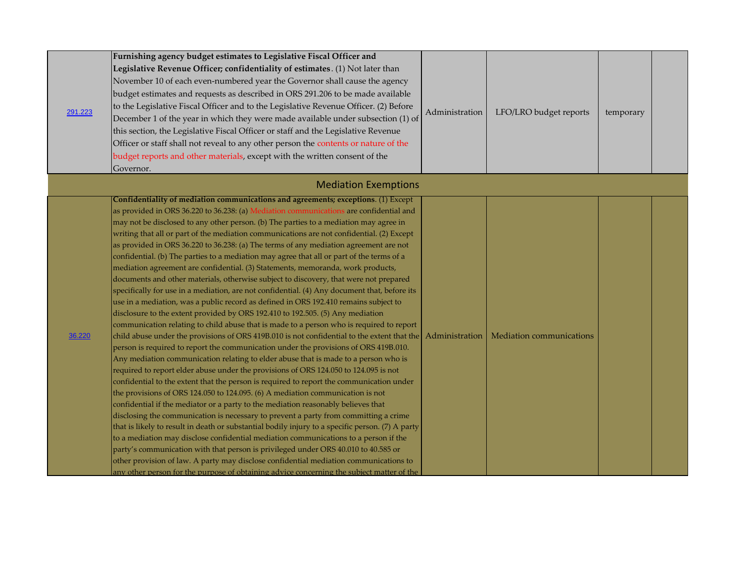| 291.223 | Furnishing agency budget estimates to Legislative Fiscal Officer and<br>Legislative Revenue Officer; confidentiality of estimates. (1) Not later than<br>November 10 of each even-numbered year the Governor shall cause the agency<br>budget estimates and requests as described in ORS 291.206 to be made available<br>to the Legislative Fiscal Officer and to the Legislative Revenue Officer. (2) Before<br>December 1 of the year in which they were made available under subsection (1) of<br>this section, the Legislative Fiscal Officer or staff and the Legislative Revenue<br>Officer or staff shall not reveal to any other person the contents or nature of the<br>budget reports and other materials, except with the written consent of the<br>Governor.                                                                                                                                                                                                                                                                                                                                                                                                                                                                                                                                                                                                                                                                                                                                                                                                                                                                                                                                                                                                                                                                                                                                                                                                                                                                                                                                                                                                                                                                                                                                            | Administration | LFO/LRO budget reports   | temporary |  |
|---------|---------------------------------------------------------------------------------------------------------------------------------------------------------------------------------------------------------------------------------------------------------------------------------------------------------------------------------------------------------------------------------------------------------------------------------------------------------------------------------------------------------------------------------------------------------------------------------------------------------------------------------------------------------------------------------------------------------------------------------------------------------------------------------------------------------------------------------------------------------------------------------------------------------------------------------------------------------------------------------------------------------------------------------------------------------------------------------------------------------------------------------------------------------------------------------------------------------------------------------------------------------------------------------------------------------------------------------------------------------------------------------------------------------------------------------------------------------------------------------------------------------------------------------------------------------------------------------------------------------------------------------------------------------------------------------------------------------------------------------------------------------------------------------------------------------------------------------------------------------------------------------------------------------------------------------------------------------------------------------------------------------------------------------------------------------------------------------------------------------------------------------------------------------------------------------------------------------------------------------------------------------------------------------------------------------------------|----------------|--------------------------|-----------|--|
|         | <b>Mediation Exemptions</b>                                                                                                                                                                                                                                                                                                                                                                                                                                                                                                                                                                                                                                                                                                                                                                                                                                                                                                                                                                                                                                                                                                                                                                                                                                                                                                                                                                                                                                                                                                                                                                                                                                                                                                                                                                                                                                                                                                                                                                                                                                                                                                                                                                                                                                                                                         |                |                          |           |  |
| 36.220  | Confidentiality of mediation communications and agreements; exceptions. (1) Except<br>as provided in ORS 36.220 to 36.238: (a) Mediation communications are confidential and<br>may not be disclosed to any other person. (b) The parties to a mediation may agree in<br>writing that all or part of the mediation communications are not confidential. (2) Except<br>as provided in ORS 36.220 to 36.238: (a) The terms of any mediation agreement are not<br>confidential. (b) The parties to a mediation may agree that all or part of the terms of a<br>mediation agreement are confidential. (3) Statements, memoranda, work products,<br>documents and other materials, otherwise subject to discovery, that were not prepared<br>specifically for use in a mediation, are not confidential. (4) Any document that, before its<br>use in a mediation, was a public record as defined in ORS 192.410 remains subject to<br>disclosure to the extent provided by ORS 192.410 to 192.505. (5) Any mediation<br>communication relating to child abuse that is made to a person who is required to report<br>child abuse under the provisions of ORS 419B.010 is not confidential to the extent that the<br>person is required to report the communication under the provisions of ORS 419B.010.<br>Any mediation communication relating to elder abuse that is made to a person who is<br>required to report elder abuse under the provisions of ORS 124.050 to 124.095 is not<br>confidential to the extent that the person is required to report the communication under<br>the provisions of ORS 124.050 to 124.095. (6) A mediation communication is not<br>confidential if the mediator or a party to the mediation reasonably believes that<br>disclosing the communication is necessary to prevent a party from committing a crime<br>that is likely to result in death or substantial bodily injury to a specific person. (7) A party<br>to a mediation may disclose confidential mediation communications to a person if the<br>party's communication with that person is privileged under ORS 40.010 to 40.585 or<br>other provision of law. A party may disclose confidential mediation communications to<br>any other person for the purpose of obtaining advice concerning the subject matter of the | Administration | Mediation communications |           |  |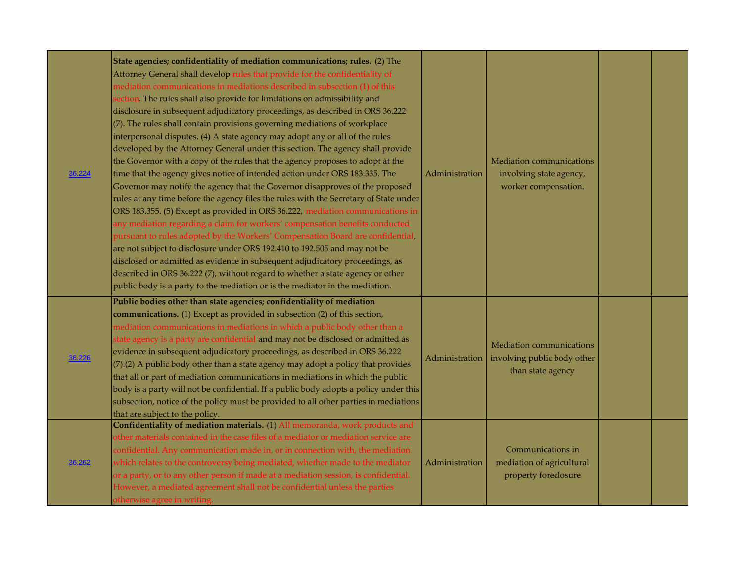| 36.224 | State agencies; confidentiality of mediation communications; rules. (2) The<br>Attorney General shall develop rules that provide for the confidentiality of<br>mediation communications in mediations described in subsection (1) of this<br>section. The rules shall also provide for limitations on admissibility and<br>disclosure in subsequent adjudicatory proceedings, as described in ORS 36.222<br>(7). The rules shall contain provisions governing mediations of workplace<br>interpersonal disputes. (4) A state agency may adopt any or all of the rules<br>developed by the Attorney General under this section. The agency shall provide<br>the Governor with a copy of the rules that the agency proposes to adopt at the<br>time that the agency gives notice of intended action under ORS 183.335. The<br>Governor may notify the agency that the Governor disapproves of the proposed<br>rules at any time before the agency files the rules with the Secretary of State under<br>ORS 183.355. (5) Except as provided in ORS 36.222, mediation communications in<br>any mediation regarding a claim for workers' compensation benefits conducted<br>pursuant to rules adopted by the Workers' Compensation Board are confidential,<br>are not subject to disclosure under ORS 192.410 to 192.505 and may not be<br>disclosed or admitted as evidence in subsequent adjudicatory proceedings, as<br>described in ORS 36.222 (7), without regard to whether a state agency or other<br>public body is a party to the mediation or is the mediator in the mediation. | Administration | Mediation communications<br>involving state agency,<br>worker compensation.  |  |
|--------|--------------------------------------------------------------------------------------------------------------------------------------------------------------------------------------------------------------------------------------------------------------------------------------------------------------------------------------------------------------------------------------------------------------------------------------------------------------------------------------------------------------------------------------------------------------------------------------------------------------------------------------------------------------------------------------------------------------------------------------------------------------------------------------------------------------------------------------------------------------------------------------------------------------------------------------------------------------------------------------------------------------------------------------------------------------------------------------------------------------------------------------------------------------------------------------------------------------------------------------------------------------------------------------------------------------------------------------------------------------------------------------------------------------------------------------------------------------------------------------------------------------------------------------------------------------------------------------|----------------|------------------------------------------------------------------------------|--|
| 36.226 | Public bodies other than state agencies; confidentiality of mediation<br>communications. (1) Except as provided in subsection (2) of this section,<br>mediation communications in mediations in which a public body other than a<br>state agency is a party are confidential and may not be disclosed or admitted as<br>evidence in subsequent adjudicatory proceedings, as described in ORS 36.222<br>(7).(2) A public body other than a state agency may adopt a policy that provides<br>that all or part of mediation communications in mediations in which the public<br>body is a party will not be confidential. If a public body adopts a policy under this<br>subsection, notice of the policy must be provided to all other parties in mediations<br>that are subject to the policy.                                                                                                                                                                                                                                                                                                                                                                                                                                                                                                                                                                                                                                                                                                                                                                                        | Administration | Mediation communications<br>involving public body other<br>than state agency |  |
| 36.262 | Confidentiality of mediation materials. (1) All memoranda, work products and<br>other materials contained in the case files of a mediator or mediation service are<br>confidential. Any communication made in, or in connection with, the mediation<br>which relates to the controversy being mediated, whether made to the mediator<br>or a party, or to any other person if made at a mediation session, is confidential.<br>However, a mediated agreement shall not be confidential unless the parties<br>otherwise agree in writing.                                                                                                                                                                                                                                                                                                                                                                                                                                                                                                                                                                                                                                                                                                                                                                                                                                                                                                                                                                                                                                             | Administration | Communications in<br>mediation of agricultural<br>property foreclosure       |  |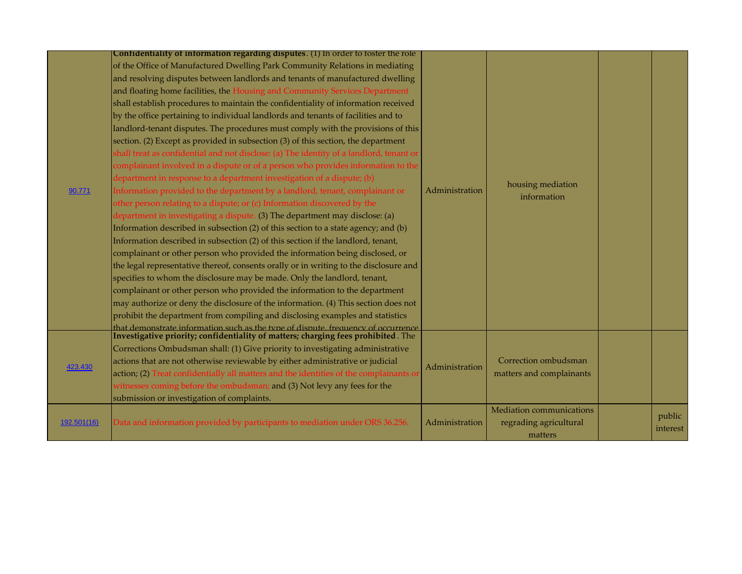|             | Confidentiality of information regarding disputes. (1) In order to foster the role      |                |                          |          |
|-------------|-----------------------------------------------------------------------------------------|----------------|--------------------------|----------|
|             | of the Office of Manufactured Dwelling Park Community Relations in mediating            |                |                          |          |
|             | and resolving disputes between landlords and tenants of manufactured dwelling           |                |                          |          |
|             | and floating home facilities, the Housing and Community Services Department             |                |                          |          |
|             | shall establish procedures to maintain the confidentiality of information received      |                |                          |          |
|             | by the office pertaining to individual landlords and tenants of facilities and to       |                |                          |          |
|             | landlord-tenant disputes. The procedures must comply with the provisions of this        |                |                          |          |
|             | section. (2) Except as provided in subsection (3) of this section, the department       |                |                          |          |
|             | shall treat as confidential and not disclose: (a) The identity of a landlord, tenant or |                |                          |          |
|             | complainant involved in a dispute or of a person who provides information to the        |                |                          |          |
|             | department in response to a department investigation of a dispute; (b)                  |                |                          |          |
| 90.771      | Information provided to the department by a landlord, tenant, complainant or            | Administration | housing mediation        |          |
|             | other person relating to a dispute; or (c) Information discovered by the                |                | information              |          |
|             | department in investigating a dispute. (3) The department may disclose: (a)             |                |                          |          |
|             | Information described in subsection (2) of this section to a state agency; and (b)      |                |                          |          |
|             | Information described in subsection (2) of this section if the landlord, tenant,        |                |                          |          |
|             | complainant or other person who provided the information being disclosed, or            |                |                          |          |
|             | the legal representative thereof, consents orally or in writing to the disclosure and   |                |                          |          |
|             | specifies to whom the disclosure may be made. Only the landlord, tenant,                |                |                          |          |
|             | complainant or other person who provided the information to the department              |                |                          |          |
|             | may authorize or deny the disclosure of the information. (4) This section does not      |                |                          |          |
|             | prohibit the department from compiling and disclosing examples and statistics           |                |                          |          |
|             | that demonstrate information such as the type of dispute, frequency of occurrence       |                |                          |          |
|             | Investigative priority; confidentiality of matters; charging fees prohibited. The       |                |                          |          |
|             | Corrections Ombudsman shall: (1) Give priority to investigating administrative          |                |                          |          |
| 423.430     | actions that are not otherwise reviewable by either administrative or judicial          | Administration | Correction ombudsman     |          |
|             | action; (2) Treat confidentially all matters and the identities of the complainants or  |                | matters and complainants |          |
|             | witnesses coming before the ombudsman; and (3) Not levy any fees for the                |                |                          |          |
|             | submission or investigation of complaints.                                              |                |                          |          |
|             |                                                                                         |                | Mediation communications | public   |
| 192.501(16) | Data and information provided by participants to mediation under ORS 36.256.            | Administration | regrading agricultural   | interest |
|             |                                                                                         |                | matters                  |          |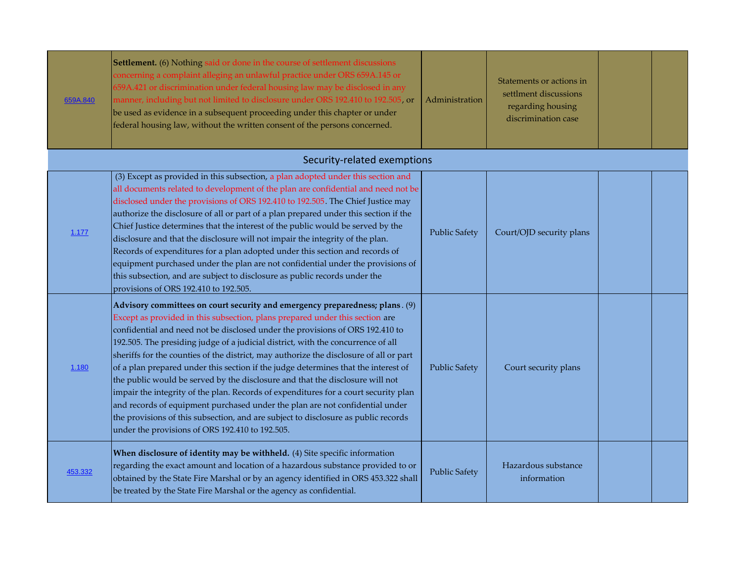| 659A.840 | Settlement. (6) Nothing said or done in the course of settlement discussions<br>concerning a complaint alleging an unlawful practice under ORS 659A.145 or<br>659A.421 or discrimination under federal housing law may be disclosed in any<br>manner, including but not limited to disclosure under ORS 192.410 to 192.505, or<br>be used as evidence in a subsequent proceeding under this chapter or under<br>federal housing law, without the written consent of the persons concerned.                                                                                                                                                                                                                                                                                                                                                                                                                         | Administration       | Statements or actions in<br>settlment discussions<br>regarding housing<br>discrimination case |  |
|----------|--------------------------------------------------------------------------------------------------------------------------------------------------------------------------------------------------------------------------------------------------------------------------------------------------------------------------------------------------------------------------------------------------------------------------------------------------------------------------------------------------------------------------------------------------------------------------------------------------------------------------------------------------------------------------------------------------------------------------------------------------------------------------------------------------------------------------------------------------------------------------------------------------------------------|----------------------|-----------------------------------------------------------------------------------------------|--|
|          | Security-related exemptions                                                                                                                                                                                                                                                                                                                                                                                                                                                                                                                                                                                                                                                                                                                                                                                                                                                                                        |                      |                                                                                               |  |
| 1.177    | (3) Except as provided in this subsection, a plan adopted under this section and<br>all documents related to development of the plan are confidential and need not be<br>disclosed under the provisions of ORS 192.410 to 192.505. The Chief Justice may<br>authorize the disclosure of all or part of a plan prepared under this section if the<br>Chief Justice determines that the interest of the public would be served by the<br>disclosure and that the disclosure will not impair the integrity of the plan.<br>Records of expenditures for a plan adopted under this section and records of<br>equipment purchased under the plan are not confidential under the provisions of<br>this subsection, and are subject to disclosure as public records under the<br>provisions of ORS 192.410 to 192.505.                                                                                                     | <b>Public Safety</b> | Court/OJD security plans                                                                      |  |
| 1.180    | Advisory committees on court security and emergency preparedness; plans. (9)<br>Except as provided in this subsection, plans prepared under this section are<br>confidential and need not be disclosed under the provisions of ORS 192.410 to<br>192.505. The presiding judge of a judicial district, with the concurrence of all<br>sheriffs for the counties of the district, may authorize the disclosure of all or part<br>of a plan prepared under this section if the judge determines that the interest of<br>the public would be served by the disclosure and that the disclosure will not<br>impair the integrity of the plan. Records of expenditures for a court security plan<br>and records of equipment purchased under the plan are not confidential under<br>the provisions of this subsection, and are subject to disclosure as public records<br>under the provisions of ORS 192.410 to 192.505. | <b>Public Safety</b> | Court security plans                                                                          |  |
| 453.332  | When disclosure of identity may be withheld. (4) Site specific information<br>regarding the exact amount and location of a hazardous substance provided to or<br>obtained by the State Fire Marshal or by an agency identified in ORS 453.322 shall<br>be treated by the State Fire Marshal or the agency as confidential.                                                                                                                                                                                                                                                                                                                                                                                                                                                                                                                                                                                         | <b>Public Safety</b> | Hazardous substance<br>information                                                            |  |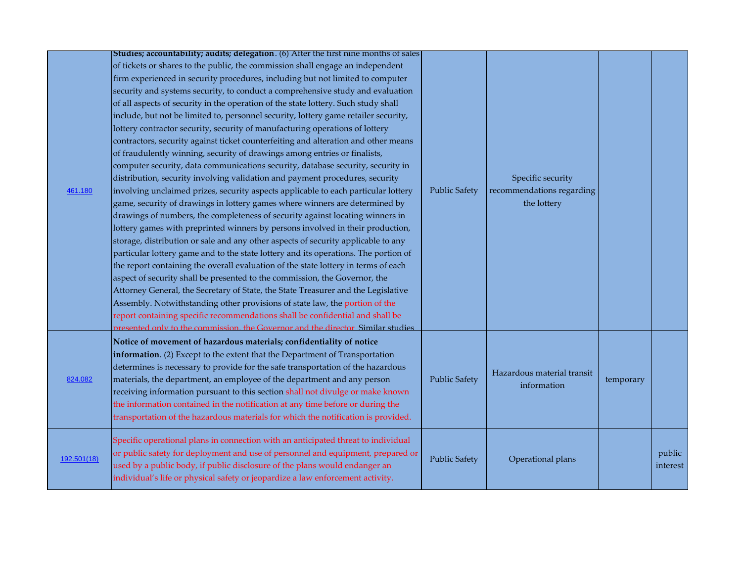|             | Studies; accountability; audits; delegation. (6) After the first nine months of sales |                      |                            |           |          |
|-------------|---------------------------------------------------------------------------------------|----------------------|----------------------------|-----------|----------|
|             | of tickets or shares to the public, the commission shall engage an independent        |                      |                            |           |          |
|             | firm experienced in security procedures, including but not limited to computer        |                      |                            |           |          |
|             | security and systems security, to conduct a comprehensive study and evaluation        |                      |                            |           |          |
|             | of all aspects of security in the operation of the state lottery. Such study shall    |                      |                            |           |          |
|             | include, but not be limited to, personnel security, lottery game retailer security,   |                      |                            |           |          |
|             | lottery contractor security, security of manufacturing operations of lottery          |                      |                            |           |          |
|             | contractors, security against ticket counterfeiting and alteration and other means    |                      |                            |           |          |
|             | of fraudulently winning, security of drawings among entries or finalists,             |                      |                            |           |          |
|             | computer security, data communications security, database security, security in       |                      |                            |           |          |
|             | distribution, security involving validation and payment procedures, security          |                      | Specific security          |           |          |
| 461.180     | involving unclaimed prizes, security aspects applicable to each particular lottery    | <b>Public Safety</b> | recommendations regarding  |           |          |
|             | game, security of drawings in lottery games where winners are determined by           |                      | the lottery                |           |          |
|             | drawings of numbers, the completeness of security against locating winners in         |                      |                            |           |          |
|             | lottery games with preprinted winners by persons involved in their production,        |                      |                            |           |          |
|             | storage, distribution or sale and any other aspects of security applicable to any     |                      |                            |           |          |
|             | particular lottery game and to the state lottery and its operations. The portion of   |                      |                            |           |          |
|             | the report containing the overall evaluation of the state lottery in terms of each    |                      |                            |           |          |
|             | aspect of security shall be presented to the commission, the Governor, the            |                      |                            |           |          |
|             | Attorney General, the Secretary of State, the State Treasurer and the Legislative     |                      |                            |           |          |
|             | Assembly. Notwithstanding other provisions of state law, the portion of the           |                      |                            |           |          |
|             | report containing specific recommendations shall be confidential and shall be         |                      |                            |           |          |
|             | presented only to the commission, the Governor and the director Similar studies       |                      |                            |           |          |
|             | Notice of movement of hazardous materials; confidentiality of notice                  |                      |                            |           |          |
|             | information. (2) Except to the extent that the Department of Transportation           |                      |                            |           |          |
|             | determines is necessary to provide for the safe transportation of the hazardous       |                      |                            |           |          |
| 824.082     | materials, the department, an employee of the department and any person               | <b>Public Safety</b> | Hazardous material transit | temporary |          |
|             | receiving information pursuant to this section shall not divulge or make known        |                      | information                |           |          |
|             | the information contained in the notification at any time before or during the        |                      |                            |           |          |
|             | transportation of the hazardous materials for which the notification is provided.     |                      |                            |           |          |
|             | Specific operational plans in connection with an anticipated threat to individual     |                      |                            |           |          |
|             | or public safety for deployment and use of personnel and equipment, prepared or       |                      |                            |           | public   |
| 192.501(18) | used by a public body, if public disclosure of the plans would endanger an            | <b>Public Safety</b> | Operational plans          |           | interest |
|             | individual's life or physical safety or jeopardize a law enforcement activity.        |                      |                            |           |          |
|             |                                                                                       |                      |                            |           |          |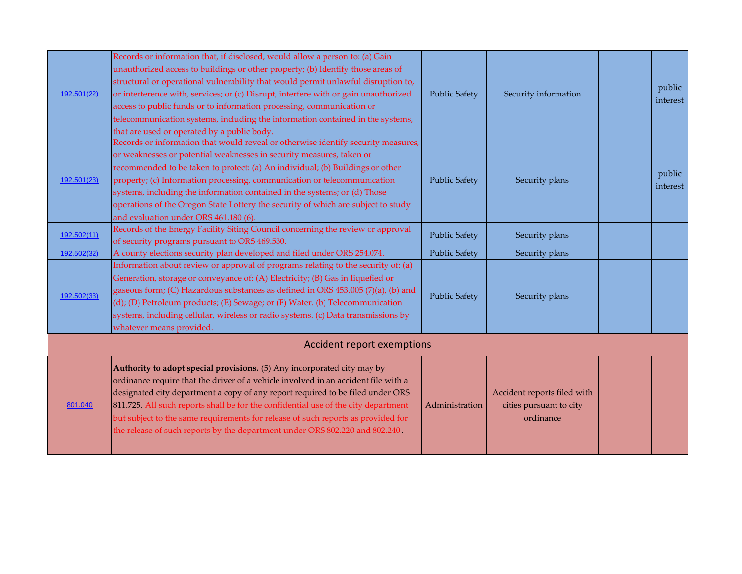| 801.040     | Authority to adopt special provisions. (5) Any incorporated city may by<br>ordinance require that the driver of a vehicle involved in an accident file with a<br>designated city department a copy of any report required to be filed under ORS<br>811.725. All such reports shall be for the confidential use of the city department<br>but subject to the same requirements for release of such reports as provided for<br>the release of such reports by the department under ORS 802.220 and 802.240.                                             | Administration       | Accident reports filed with<br>cities pursuant to city<br>ordinance |                    |
|-------------|-------------------------------------------------------------------------------------------------------------------------------------------------------------------------------------------------------------------------------------------------------------------------------------------------------------------------------------------------------------------------------------------------------------------------------------------------------------------------------------------------------------------------------------------------------|----------------------|---------------------------------------------------------------------|--------------------|
|             | Accident report exemptions                                                                                                                                                                                                                                                                                                                                                                                                                                                                                                                            |                      |                                                                     |                    |
| 192.502(33) | Information about review or approval of programs relating to the security of: (a)<br>Generation, storage or conveyance of: (A) Electricity; (B) Gas in liquefied or<br>gaseous form; (C) Hazardous substances as defined in ORS 453.005 (7)(a), (b) and<br>(d); (D) Petroleum products; (E) Sewage; or (F) Water. (b) Telecommunication<br>systems, including cellular, wireless or radio systems. (c) Data transmissions by<br>whatever means provided.                                                                                              | <b>Public Safety</b> | Security plans                                                      |                    |
| 192.502(32) | A county elections security plan developed and filed under ORS 254.074.                                                                                                                                                                                                                                                                                                                                                                                                                                                                               | <b>Public Safety</b> | Security plans                                                      |                    |
| 192.502(11) | Records of the Energy Facility Siting Council concerning the review or approval<br>of security programs pursuant to ORS 469.530.                                                                                                                                                                                                                                                                                                                                                                                                                      | <b>Public Safety</b> | Security plans                                                      |                    |
| 192.501(23) | Records or information that would reveal or otherwise identify security measures,<br>or weaknesses or potential weaknesses in security measures, taken or<br>recommended to be taken to protect: (a) An individual; (b) Buildings or other<br>property; (c) Information processing, communication or telecommunication<br>systems, including the information contained in the systems; or (d) Those<br>operations of the Oregon State Lottery the security of which are subject to study<br>and evaluation under ORS 461.180 (6).                     | <b>Public Safety</b> | Security plans                                                      | public<br>interest |
| 192.501(22) | Records or information that, if disclosed, would allow a person to: (a) Gain<br>unauthorized access to buildings or other property; (b) Identify those areas of<br>structural or operational vulnerability that would permit unlawful disruption to,<br>or interference with, services; or (c) Disrupt, interfere with or gain unauthorized<br>access to public funds or to information processing, communication or<br>telecommunication systems, including the information contained in the systems,<br>that are used or operated by a public body. | <b>Public Safety</b> | Security information                                                | public<br>interest |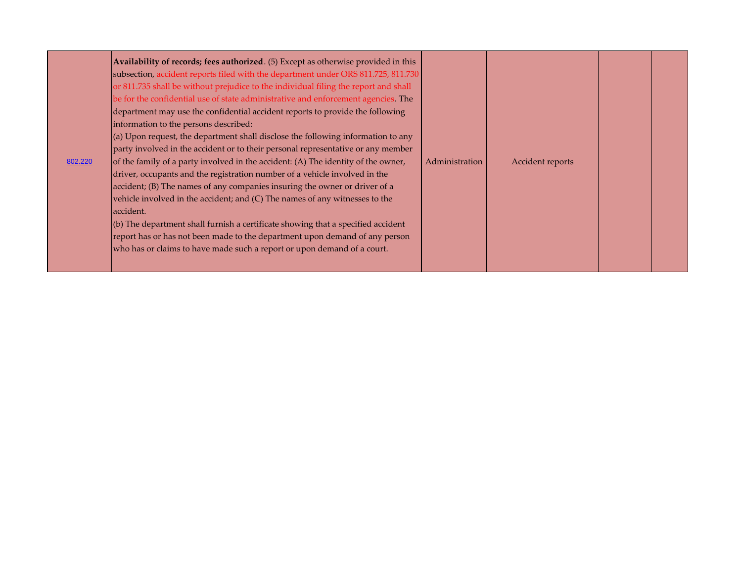| Availability of records; fees authorized. (5) Except as otherwise provided in this<br>subsection, accident reports filed with the department under ORS 811.725, 811.730<br>or 811.735 shall be without prejudice to the individual filing the report and shall<br>be for the confidential use of state administrative and enforcement agencies. The<br>department may use the confidential accident reports to provide the following<br>information to the persons described:<br>$\vert$ (a) Upon request, the department shall disclose the following information to any<br>party involved in the accident or to their personal representative or any member<br>of the family of a party involved in the accident: (A) The identity of the owner,<br>Administration<br>802.220<br>driver, occupants and the registration number of a vehicle involved in the<br>accident; (B) The names of any companies insuring the owner or driver of a<br>vehicle involved in the accident; and (C) The names of any witnesses to the<br>accident.<br>$\vert$ (b) The department shall furnish a certificate showing that a specified accident<br>report has or has not been made to the department upon demand of any person<br>who has or claims to have made such a report or upon demand of a court. | Accident reports |
|-----------------------------------------------------------------------------------------------------------------------------------------------------------------------------------------------------------------------------------------------------------------------------------------------------------------------------------------------------------------------------------------------------------------------------------------------------------------------------------------------------------------------------------------------------------------------------------------------------------------------------------------------------------------------------------------------------------------------------------------------------------------------------------------------------------------------------------------------------------------------------------------------------------------------------------------------------------------------------------------------------------------------------------------------------------------------------------------------------------------------------------------------------------------------------------------------------------------------------------------------------------------------------------------------|------------------|
|-----------------------------------------------------------------------------------------------------------------------------------------------------------------------------------------------------------------------------------------------------------------------------------------------------------------------------------------------------------------------------------------------------------------------------------------------------------------------------------------------------------------------------------------------------------------------------------------------------------------------------------------------------------------------------------------------------------------------------------------------------------------------------------------------------------------------------------------------------------------------------------------------------------------------------------------------------------------------------------------------------------------------------------------------------------------------------------------------------------------------------------------------------------------------------------------------------------------------------------------------------------------------------------------------|------------------|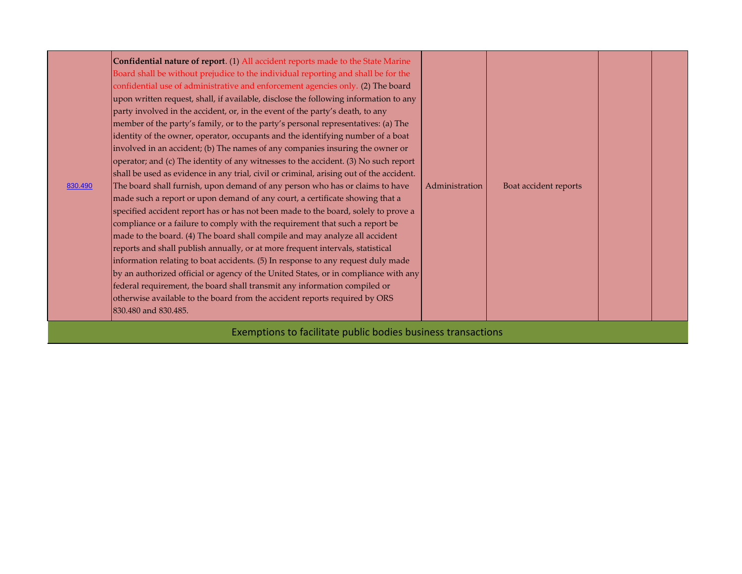| 830.490 | Confidential nature of report. (1) All accident reports made to the State Marine<br>Board shall be without prejudice to the individual reporting and shall be for the<br>confidential use of administrative and enforcement agencies only. (2) The board<br>upon written request, shall, if available, disclose the following information to any<br>party involved in the accident, or, in the event of the party's death, to any<br>member of the party's family, or to the party's personal representatives: (a) The<br>identity of the owner, operator, occupants and the identifying number of a boat<br>involved in an accident; (b) The names of any companies insuring the owner or<br>operator; and (c) The identity of any witnesses to the accident. (3) No such report<br>shall be used as evidence in any trial, civil or criminal, arising out of the accident.<br>The board shall furnish, upon demand of any person who has or claims to have<br>made such a report or upon demand of any court, a certificate showing that a<br>specified accident report has or has not been made to the board, solely to prove a<br>compliance or a failure to comply with the requirement that such a report be<br>made to the board. (4) The board shall compile and may analyze all accident<br>reports and shall publish annually, or at more frequent intervals, statistical<br>information relating to boat accidents. (5) In response to any request duly made<br>by an authorized official or agency of the United States, or in compliance with any<br>federal requirement, the board shall transmit any information compiled or<br>otherwise available to the board from the accident reports required by ORS<br>830.480 and 830.485. | Administration | Boat accident reports |  |  |
|---------|---------------------------------------------------------------------------------------------------------------------------------------------------------------------------------------------------------------------------------------------------------------------------------------------------------------------------------------------------------------------------------------------------------------------------------------------------------------------------------------------------------------------------------------------------------------------------------------------------------------------------------------------------------------------------------------------------------------------------------------------------------------------------------------------------------------------------------------------------------------------------------------------------------------------------------------------------------------------------------------------------------------------------------------------------------------------------------------------------------------------------------------------------------------------------------------------------------------------------------------------------------------------------------------------------------------------------------------------------------------------------------------------------------------------------------------------------------------------------------------------------------------------------------------------------------------------------------------------------------------------------------------------------------------------------------------------------------------------------------------------------|----------------|-----------------------|--|--|
|---------|---------------------------------------------------------------------------------------------------------------------------------------------------------------------------------------------------------------------------------------------------------------------------------------------------------------------------------------------------------------------------------------------------------------------------------------------------------------------------------------------------------------------------------------------------------------------------------------------------------------------------------------------------------------------------------------------------------------------------------------------------------------------------------------------------------------------------------------------------------------------------------------------------------------------------------------------------------------------------------------------------------------------------------------------------------------------------------------------------------------------------------------------------------------------------------------------------------------------------------------------------------------------------------------------------------------------------------------------------------------------------------------------------------------------------------------------------------------------------------------------------------------------------------------------------------------------------------------------------------------------------------------------------------------------------------------------------------------------------------------------------|----------------|-----------------------|--|--|

Exemptions to facilitate public bodies business transactions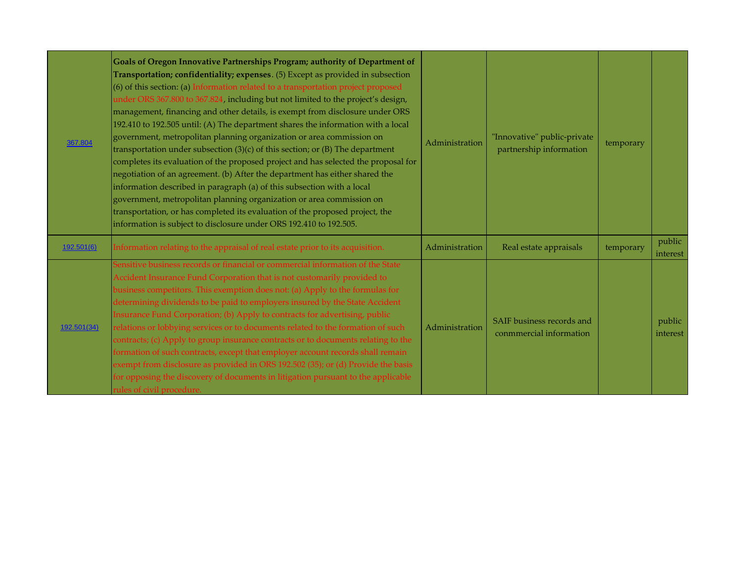| 367.804     | Goals of Oregon Innovative Partnerships Program; authority of Department of<br>Transportation; confidentiality; expenses. (5) Except as provided in subsection<br>(6) of this section: (a) Information related to a transportation project proposed<br>under ORS 367.800 to 367.824, including but not limited to the project's design,<br>management, financing and other details, is exempt from disclosure under ORS<br>192.410 to 192.505 until: (A) The department shares the information with a local<br>government, metropolitan planning organization or area commission on<br>transportation under subsection $(3)(c)$ of this section; or $(B)$ The department<br>completes its evaluation of the proposed project and has selected the proposal for<br>negotiation of an agreement. (b) After the department has either shared the<br>information described in paragraph (a) of this subsection with a local<br>government, metropolitan planning organization or area commission on<br>transportation, or has completed its evaluation of the proposed project, the<br>information is subject to disclosure under ORS 192.410 to 192.505. | Administration | "Innovative" public-private<br>partnership information | temporary |                    |
|-------------|-------------------------------------------------------------------------------------------------------------------------------------------------------------------------------------------------------------------------------------------------------------------------------------------------------------------------------------------------------------------------------------------------------------------------------------------------------------------------------------------------------------------------------------------------------------------------------------------------------------------------------------------------------------------------------------------------------------------------------------------------------------------------------------------------------------------------------------------------------------------------------------------------------------------------------------------------------------------------------------------------------------------------------------------------------------------------------------------------------------------------------------------------------|----------------|--------------------------------------------------------|-----------|--------------------|
| 192.501(6)  | Information relating to the appraisal of real estate prior to its acquisition.                                                                                                                                                                                                                                                                                                                                                                                                                                                                                                                                                                                                                                                                                                                                                                                                                                                                                                                                                                                                                                                                        | Administration | Real estate appraisals                                 | temporary | public<br>interest |
| 192.501(34) | Sensitive business records or financial or commercial information of the State<br>Accident Insurance Fund Corporation that is not customarily provided to<br>pusiness competitors. This exemption does not: (a) Apply to the formulas for<br>determining dividends to be paid to employers insured by the State Accident<br>Insurance Fund Corporation; (b) Apply to contracts for advertising, public<br>relations or lobbying services or to documents related to the formation of such<br>contracts; (c) Apply to group insurance contracts or to documents relating to the<br>formation of such contracts, except that employer account records shall remain<br>exempt from disclosure as provided in ORS 192.502 (35); or (d) Provide the basis<br>for opposing the discovery of documents in litigation pursuant to the applicable<br>rules of civil procedure.                                                                                                                                                                                                                                                                                 | Administration | SAIF business records and<br>conmmercial information   |           | public<br>interest |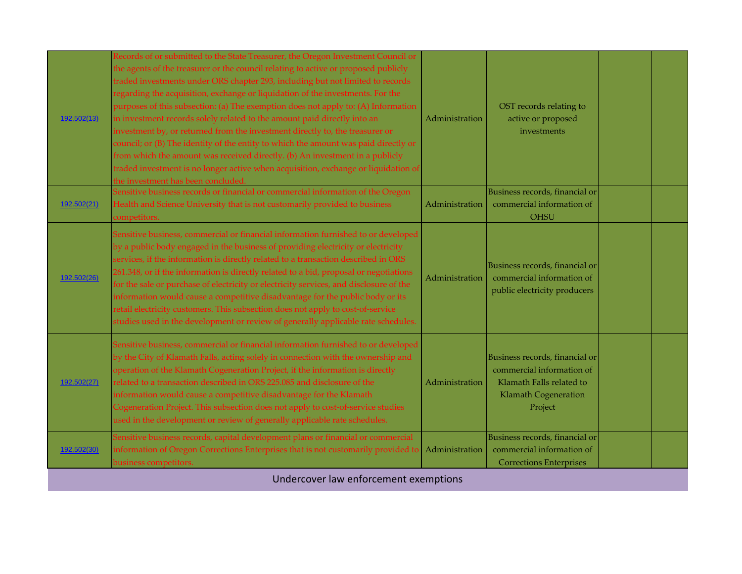| 192.502(13) | Records of or submitted to the State Treasurer, the Oregon Investment Council or<br>the agents of the treasurer or the council relating to active or proposed publicly<br>traded investments under ORS chapter 293, including but not limited to records<br>regarding the acquisition, exchange or liquidation of the investments. For the<br>purposes of this subsection: (a) The exemption does not apply to: (A) Information<br>in investment records solely related to the amount paid directly into an<br>investment by, or returned from the investment directly to, the treasurer or<br>council; or (B) The identity of the entity to which the amount was paid directly or<br>from which the amount was received directly. (b) An investment in a publicly<br>traded investment is no longer active when acquisition, exchange or liquidation of<br>the investment has been concluded. | Administration | OST records relating to<br>active or proposed<br>investments                                                                      |  |
|-------------|------------------------------------------------------------------------------------------------------------------------------------------------------------------------------------------------------------------------------------------------------------------------------------------------------------------------------------------------------------------------------------------------------------------------------------------------------------------------------------------------------------------------------------------------------------------------------------------------------------------------------------------------------------------------------------------------------------------------------------------------------------------------------------------------------------------------------------------------------------------------------------------------|----------------|-----------------------------------------------------------------------------------------------------------------------------------|--|
| 192.502(21) | Sensitive business records or financial or commercial information of the Oregon<br>Health and Science University that is not customarily provided to business<br>competitors.                                                                                                                                                                                                                                                                                                                                                                                                                                                                                                                                                                                                                                                                                                                  | Administration | Business records, financial or<br>commercial information of<br><b>OHSU</b>                                                        |  |
| 192.502(26) | Sensitive business, commercial or financial information furnished to or developed<br>by a public body engaged in the business of providing electricity or electricity<br>services, if the information is directly related to a transaction described in ORS<br>261.348, or if the information is directly related to a bid, proposal or negotiations<br>for the sale or purchase of electricity or electricity services, and disclosure of the<br>information would cause a competitive disadvantage for the public body or its<br>retail electricity customers. This subsection does not apply to cost-of-service<br>studies used in the development or review of generally applicable rate schedules.                                                                                                                                                                                        | Administration | Business records, financial or<br>commercial information of<br>public electricity producers                                       |  |
| 192.502(27) | Sensitive business, commercial or financial information furnished to or developed<br>by the City of Klamath Falls, acting solely in connection with the ownership and<br>operation of the Klamath Cogeneration Project, if the information is directly<br>related to a transaction described in ORS 225.085 and disclosure of the<br>information would cause a competitive disadvantage for the Klamath<br>Cogeneration Project. This subsection does not apply to cost-of-service studies<br>used in the development or review of generally applicable rate schedules.                                                                                                                                                                                                                                                                                                                        | Administration | Business records, financial or<br>commercial information of<br>Klamath Falls related to<br><b>Klamath Cogeneration</b><br>Project |  |
| 192.502(30) | Sensitive business records, capital development plans or financial or commercial<br>information of Oregon Corrections Enterprises that is not customarily provided to<br>business competitors.<br>Undercover law enforcement examptions                                                                                                                                                                                                                                                                                                                                                                                                                                                                                                                                                                                                                                                        | Administration | Business records, financial or<br>commercial information of<br><b>Corrections Enterprises</b>                                     |  |

Undercover law enforcement exemptions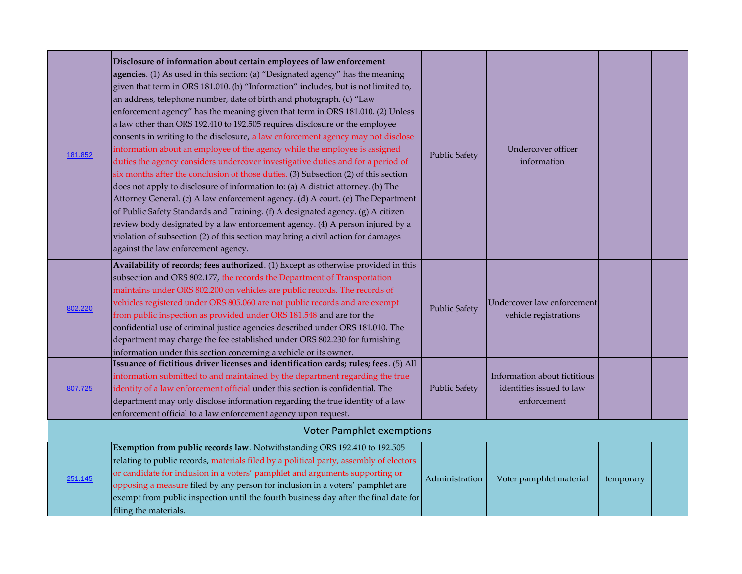| 181.852 | Disclosure of information about certain employees of law enforcement<br>agencies. (1) As used in this section: (a) "Designated agency" has the meaning<br>given that term in ORS 181.010. (b) "Information" includes, but is not limited to,<br>an address, telephone number, date of birth and photograph. (c) "Law<br>enforcement agency" has the meaning given that term in ORS 181.010. (2) Unless<br>a law other than ORS 192.410 to 192.505 requires disclosure or the employee<br>consents in writing to the disclosure, a law enforcement agency may not disclose<br>information about an employee of the agency while the employee is assigned<br>duties the agency considers undercover investigative duties and for a period of<br>six months after the conclusion of those duties. (3) Subsection (2) of this section<br>does not apply to disclosure of information to: (a) A district attorney. (b) The<br>Attorney General. (c) A law enforcement agency. (d) A court. (e) The Department<br>of Public Safety Standards and Training. (f) A designated agency. (g) A citizen<br>review body designated by a law enforcement agency. (4) A person injured by a<br>violation of subsection (2) of this section may bring a civil action for damages<br>against the law enforcement agency. | <b>Public Safety</b> | Undercover officer<br>information                                       |           |  |
|---------|---------------------------------------------------------------------------------------------------------------------------------------------------------------------------------------------------------------------------------------------------------------------------------------------------------------------------------------------------------------------------------------------------------------------------------------------------------------------------------------------------------------------------------------------------------------------------------------------------------------------------------------------------------------------------------------------------------------------------------------------------------------------------------------------------------------------------------------------------------------------------------------------------------------------------------------------------------------------------------------------------------------------------------------------------------------------------------------------------------------------------------------------------------------------------------------------------------------------------------------------------------------------------------------------------------|----------------------|-------------------------------------------------------------------------|-----------|--|
| 802.220 | Availability of records; fees authorized. (1) Except as otherwise provided in this<br>subsection and ORS 802.177, the records the Department of Transportation<br>maintains under ORS 802.200 on vehicles are public records. The records of<br>vehicles registered under ORS 805.060 are not public records and are exempt<br>from public inspection as provided under ORS 181.548 and are for the<br>confidential use of criminal justice agencies described under ORS 181.010. The<br>department may charge the fee established under ORS 802.230 for furnishing<br>information under this section concerning a vehicle or its owner.                                                                                                                                                                                                                                                                                                                                                                                                                                                                                                                                                                                                                                                                | <b>Public Safety</b> | Undercover law enforcement<br>vehicle registrations                     |           |  |
| 807.725 | Issuance of fictitious driver licenses and identification cards; rules; fees. (5) All<br>information submitted to and maintained by the department regarding the true<br>identity of a law enforcement official under this section is confidential. The<br>department may only disclose information regarding the true identity of a law<br>enforcement official to a law enforcement agency upon request.                                                                                                                                                                                                                                                                                                                                                                                                                                                                                                                                                                                                                                                                                                                                                                                                                                                                                              | <b>Public Safety</b> | Information about fictitious<br>identities issued to law<br>enforcement |           |  |
|         | <b>Voter Pamphlet exemptions</b>                                                                                                                                                                                                                                                                                                                                                                                                                                                                                                                                                                                                                                                                                                                                                                                                                                                                                                                                                                                                                                                                                                                                                                                                                                                                        |                      |                                                                         |           |  |
| 251.145 | Exemption from public records law. Notwithstanding ORS 192.410 to 192.505<br>relating to public records, materials filed by a political party, assembly of electors<br>or candidate for inclusion in a voters' pamphlet and arguments supporting or<br>opposing a measure filed by any person for inclusion in a voters' pamphlet are<br>exempt from public inspection until the fourth business day after the final date for<br>filing the materials.                                                                                                                                                                                                                                                                                                                                                                                                                                                                                                                                                                                                                                                                                                                                                                                                                                                  | Administration       | Voter pamphlet material                                                 | temporary |  |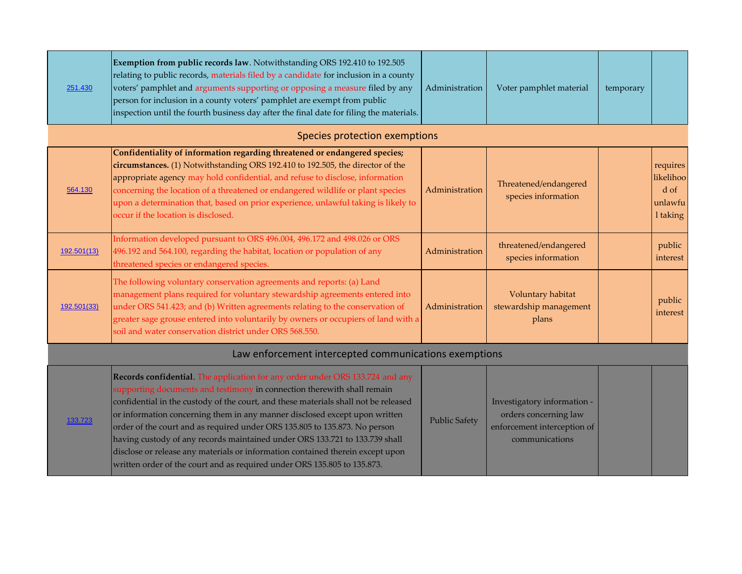| 251.430     | Exemption from public records law. Notwithstanding ORS 192.410 to 192.505<br>relating to public records, materials filed by a candidate for inclusion in a county<br>voters' pamphlet and arguments supporting or opposing a measure filed by any<br>person for inclusion in a county voters' pamphlet are exempt from public<br>inspection until the fourth business day after the final date for filing the materials.                                                                                                                                                                                                                                 | Administration       | Voter pamphlet material                                                                               | temporary |                                                      |
|-------------|----------------------------------------------------------------------------------------------------------------------------------------------------------------------------------------------------------------------------------------------------------------------------------------------------------------------------------------------------------------------------------------------------------------------------------------------------------------------------------------------------------------------------------------------------------------------------------------------------------------------------------------------------------|----------------------|-------------------------------------------------------------------------------------------------------|-----------|------------------------------------------------------|
|             | Species protection exemptions                                                                                                                                                                                                                                                                                                                                                                                                                                                                                                                                                                                                                            |                      |                                                                                                       |           |                                                      |
| 564.130     | Confidentiality of information regarding threatened or endangered species;<br>circumstances. (1) Notwithstanding ORS 192.410 to 192.505, the director of the<br>appropriate agency may hold confidential, and refuse to disclose, information<br>concerning the location of a threatened or endangered wildlife or plant species<br>upon a determination that, based on prior experience, unlawful taking is likely to<br>occur if the location is disclosed.                                                                                                                                                                                            | Administration       | Threatened/endangered<br>species information                                                          |           | requires<br>likelihoo<br>d of<br>unlawfu<br>1 taking |
| 192.501(13) | Information developed pursuant to ORS 496.004, 496.172 and 498.026 or ORS<br>496.192 and 564.100, regarding the habitat, location or population of any<br>threatened species or endangered species.                                                                                                                                                                                                                                                                                                                                                                                                                                                      | Administration       | threatened/endangered<br>species information                                                          |           | public<br>interest                                   |
| 192.501(33) | The following voluntary conservation agreements and reports: (a) Land<br>management plans required for voluntary stewardship agreements entered into<br>under ORS 541.423; and (b) Written agreements relating to the conservation of<br>greater sage grouse entered into voluntarily by owners or occupiers of land with a<br>soil and water conservation district under ORS 568.550.                                                                                                                                                                                                                                                                   | Administration       | Voluntary habitat<br>stewardship management<br>plans                                                  |           | public<br>interest                                   |
|             | Law enforcement intercepted communications exemptions                                                                                                                                                                                                                                                                                                                                                                                                                                                                                                                                                                                                    |                      |                                                                                                       |           |                                                      |
| 133.723     | Records confidential. The application for any order under ORS 133.724 and any<br>supporting documents and testimony in connection therewith shall remain<br>confidential in the custody of the court, and these materials shall not be released<br>or information concerning them in any manner disclosed except upon written<br>order of the court and as required under ORS 135.805 to 135.873. No person<br>having custody of any records maintained under ORS 133.721 to 133.739 shall<br>disclose or release any materials or information contained therein except upon<br>written order of the court and as required under ORS 135.805 to 135.873. | <b>Public Safety</b> | Investigatory information -<br>orders concerning law<br>enforcement interception of<br>communications |           |                                                      |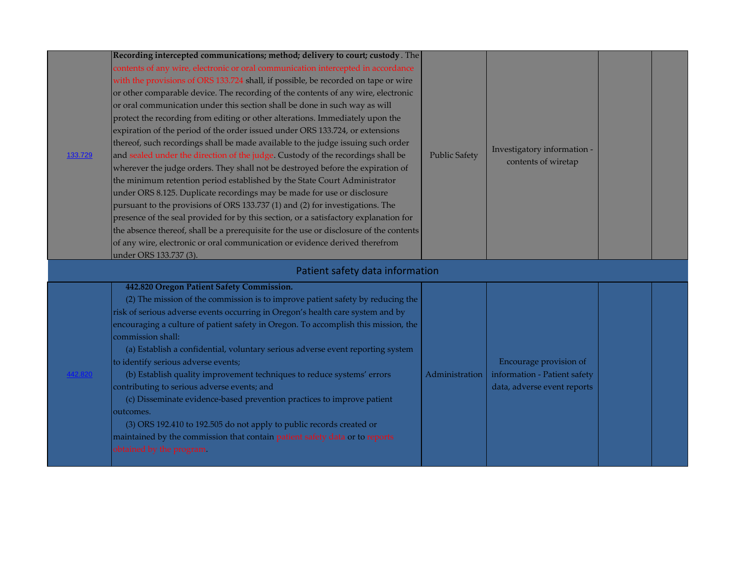| 133.729 | Recording intercepted communications; method; delivery to court; custody. The<br>contents of any wire, electronic or oral communication intercepted in accordance<br>with the provisions of ORS 133.724 shall, if possible, be recorded on tape or wire<br>or other comparable device. The recording of the contents of any wire, electronic<br>or oral communication under this section shall be done in such way as will<br>protect the recording from editing or other alterations. Immediately upon the<br>expiration of the period of the order issued under ORS 133.724, or extensions<br>thereof, such recordings shall be made available to the judge issuing such order<br>and sealed under the direction of the judge. Custody of the recordings shall be<br>wherever the judge orders. They shall not be destroyed before the expiration of<br>the minimum retention period established by the State Court Administrator<br>under ORS 8.125. Duplicate recordings may be made for use or disclosure<br>pursuant to the provisions of ORS 133.737 (1) and (2) for investigations. The<br>presence of the seal provided for by this section, or a satisfactory explanation for<br>the absence thereof, shall be a prerequisite for the use or disclosure of the contents<br>of any wire, electronic or oral communication or evidence derived therefrom<br>under ORS 133.737 (3). | <b>Public Safety</b> | Investigatory information -<br>contents of wiretap                                    |  |
|---------|--------------------------------------------------------------------------------------------------------------------------------------------------------------------------------------------------------------------------------------------------------------------------------------------------------------------------------------------------------------------------------------------------------------------------------------------------------------------------------------------------------------------------------------------------------------------------------------------------------------------------------------------------------------------------------------------------------------------------------------------------------------------------------------------------------------------------------------------------------------------------------------------------------------------------------------------------------------------------------------------------------------------------------------------------------------------------------------------------------------------------------------------------------------------------------------------------------------------------------------------------------------------------------------------------------------------------------------------------------------------------------------------|----------------------|---------------------------------------------------------------------------------------|--|
|         | Patient safety data information<br>442.820 Oregon Patient Safety Commission.<br>(2) The mission of the commission is to improve patient safety by reducing the<br>risk of serious adverse events occurring in Oregon's health care system and by<br>encouraging a culture of patient safety in Oregon. To accomplish this mission, the<br>commission shall:<br>(a) Establish a confidential, voluntary serious adverse event reporting system<br>to identify serious adverse events;<br>(b) Establish quality improvement techniques to reduce systems' errors<br>contributing to serious adverse events; and<br>(c) Disseminate evidence-based prevention practices to improve patient<br>outcomes.<br>(3) ORS 192.410 to 192.505 do not apply to public records created or<br>maintained by the commission that contain patient safety data or to reports<br>obtained by the program.                                                                                                                                                                                                                                                                                                                                                                                                                                                                                                    | Administration       | Encourage provision of<br>information - Patient safety<br>data, adverse event reports |  |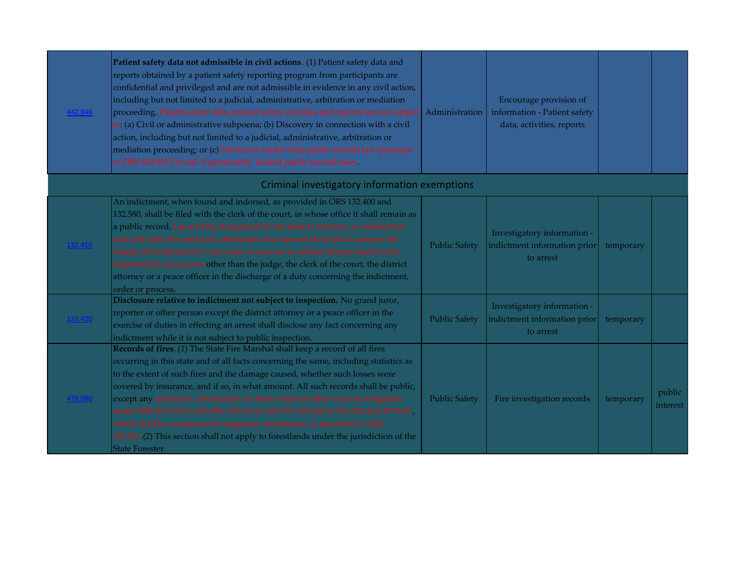| 42.846 | Patient safety data not admissible in civil actions. (1) Patient safety data and<br>reports obtained by a patient safety reporting program from participants are<br>confidential and privileged and are not admissible in evidence in any civil action,<br>including but not limited to a judicial, administrative, arbitration or mediation<br>proceeding. Patient safety data, patient safety activities and reports are not subject<br>to: (a) Civil or administrative subpoena; (b) Discovery in connection with a civil<br>action, including but not limited to a judicial, administrative, arbitration or<br>mediation proceeding; or (c) Disclosure under state public records law pursuant<br>to ORS 442.820 (3) and, if permissible, federal public records laws. | Administration       | Encourage provision of<br>information - Patient safety<br>data, activities, reports |           |                    |
|--------|----------------------------------------------------------------------------------------------------------------------------------------------------------------------------------------------------------------------------------------------------------------------------------------------------------------------------------------------------------------------------------------------------------------------------------------------------------------------------------------------------------------------------------------------------------------------------------------------------------------------------------------------------------------------------------------------------------------------------------------------------------------------------|----------------------|-------------------------------------------------------------------------------------|-----------|--------------------|
|        | Criminal investigatory information exemptions                                                                                                                                                                                                                                                                                                                                                                                                                                                                                                                                                                                                                                                                                                                              |                      |                                                                                     |           |                    |
|        | An indictment, when found and indorsed, as provided in ORS 132.400 and<br>132.580, shall be filed with the clerk of the court, in whose office it shall remain as<br>a public record. Upon being designated by the district attorney as confidential<br>and until after the arrest of a defendant who has not been held to answer the<br>charge, the indictment or any order or process in relation thereto shall not be<br>inspected by any person other than the judge, the clerk of the court, the district<br>attorney or a peace officer in the discharge of a duty concerning the indictment,<br>order or process.                                                                                                                                                   | <b>Public Safety</b> | Investigatory information -<br>indictment information prior<br>to arrest            | temporary |                    |
|        | Disclosure relative to indictment not subject to inspection. No grand juror,<br>reporter or other person except the district attorney or a peace officer in the<br>exercise of duties in effecting an arrest shall disclose any fact concerning any<br>indictment while it is not subject to public inspection.                                                                                                                                                                                                                                                                                                                                                                                                                                                            | <b>Public Safety</b> | Investigatory information -<br>indictment information prior<br>to arrest            | temporary |                    |
|        | Records of fires. (1) The State Fire Marshal shall keep a record of all fires<br>occurring in this state and of all facts concerning the same, including statistics as<br>to the extent of such fires and the damage caused, whether such losses were<br>covered by insurance, and if so, in what amount. All such records shall be public,<br>except any testimony, information or other evidence taken in an investigation<br>under ORS 476.010 to 476.090, 476.155 to 476.170, 476.210 to 476.270 and 479.180,<br>which shall be considered investigatory information as described in ORS<br>192.501 (2) This section shall not apply to forestlands under the jurisdiction of the<br>State Forester.                                                                   | <b>Public Safety</b> | Fire investigation records                                                          | temporary | public<br>interest |